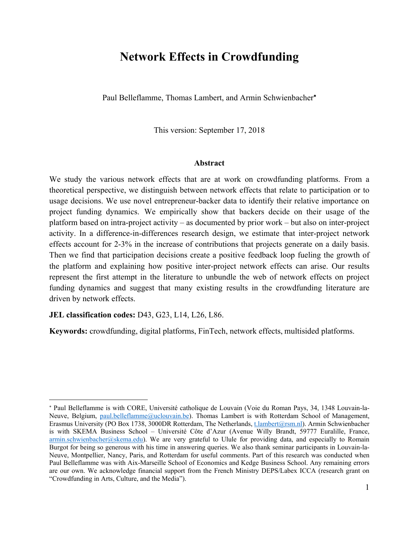# **Network Effects in Crowdfunding**

Paul Belleflamme, Thomas Lambert, and Armin Schwienbacher\*

This version: September 17, 2018

### **Abstract**

We study the various network effects that are at work on crowdfunding platforms. From a theoretical perspective, we distinguish between network effects that relate to participation or to usage decisions. We use novel entrepreneur-backer data to identify their relative importance on project funding dynamics. We empirically show that backers decide on their usage of the platform based on intra-project activity – as documented by prior work – but also on inter-project activity. In a difference-in-differences research design, we estimate that inter-project network effects account for 2-3% in the increase of contributions that projects generate on a daily basis. Then we find that participation decisions create a positive feedback loop fueling the growth of the platform and explaining how positive inter-project network effects can arise. Our results represent the first attempt in the literature to unbundle the web of network effects on project funding dynamics and suggest that many existing results in the crowdfunding literature are driven by network effects.

**JEL classification codes:** D43, G23, L14, L26, L86.

**Keywords:** crowdfunding, digital platforms, FinTech, network effects, multisided platforms.

 Paul Belleflamme is with CORE, Université catholique de Louvain (Voie du Roman Pays, 34, 1348 Louvain-la-Neuve, Belgium, paul.belleflamme@uclouvain.be). Thomas Lambert is with Rotterdam School of Management, Erasmus University (PO Box 1738, 3000DR Rotterdam, The Netherlands, t.lambert@rsm.nl). Armin Schwienbacher is with SKEMA Business School – Université Côte d'Azur (Avenue Willy Brandt, 59777 Euralille, France, armin.schwienbacher@skema.edu). We are very grateful to Ulule for providing data, and especially to Romain Burgot for being so generous with his time in answering queries. We also thank seminar participants in Louvain-la-Neuve, Montpellier, Nancy, Paris, and Rotterdam for useful comments. Part of this research was conducted when Paul Belleflamme was with Aix-Marseille School of Economics and Kedge Business School. Any remaining errors are our own. We acknowledge financial support from the French Ministry DEPS/Labex ICCA (research grant on "Crowdfunding in Arts, Culture, and the Media").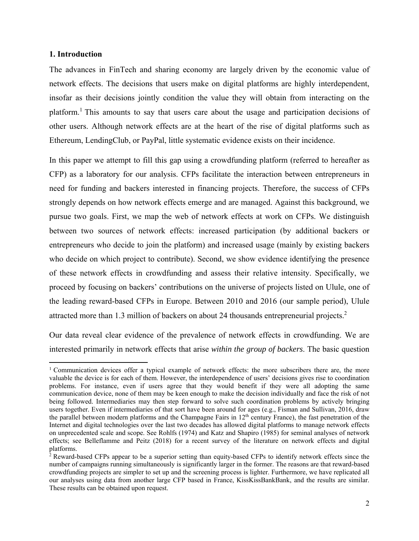### **1. Introduction**

The advances in FinTech and sharing economy are largely driven by the economic value of network effects. The decisions that users make on digital platforms are highly interdependent, insofar as their decisions jointly condition the value they will obtain from interacting on the platform.<sup>1</sup> This amounts to say that users care about the usage and participation decisions of other users. Although network effects are at the heart of the rise of digital platforms such as Ethereum, LendingClub, or PayPal, little systematic evidence exists on their incidence.

In this paper we attempt to fill this gap using a crowdfunding platform (referred to hereafter as CFP) as a laboratory for our analysis. CFPs facilitate the interaction between entrepreneurs in need for funding and backers interested in financing projects. Therefore, the success of CFPs strongly depends on how network effects emerge and are managed. Against this background, we pursue two goals. First, we map the web of network effects at work on CFPs. We distinguish between two sources of network effects: increased participation (by additional backers or entrepreneurs who decide to join the platform) and increased usage (mainly by existing backers who decide on which project to contribute). Second, we show evidence identifying the presence of these network effects in crowdfunding and assess their relative intensity. Specifically, we proceed by focusing on backers' contributions on the universe of projects listed on Ulule, one of the leading reward-based CFPs in Europe. Between 2010 and 2016 (our sample period), Ulule attracted more than 1.3 million of backers on about 24 thousands entrepreneurial projects.<sup>2</sup>

Our data reveal clear evidence of the prevalence of network effects in crowdfunding. We are interested primarily in network effects that arise *within the group of backers*. The basic question

<sup>&</sup>lt;sup>1</sup> Communication devices offer a typical example of network effects: the more subscribers there are, the more valuable the device is for each of them. However, the interdependence of users' decisions gives rise to coordination problems. For instance, even if users agree that they would benefit if they were all adopting the same communication device, none of them may be keen enough to make the decision individually and face the risk of not being followed. Intermediaries may then step forward to solve such coordination problems by actively bringing users together. Even if intermediaries of that sort have been around for ages (e.g., Fisman and Sullivan, 2016, draw the parallel between modern platforms and the Champagne Fairs in 12<sup>th</sup> century France), the fast penetration of the Internet and digital technologies over the last two decades has allowed digital platforms to manage network effects on unprecedented scale and scope. See Rohlfs (1974) and Katz and Shapiro (1985) for seminal analyses of network effects; see Belleflamme and Peitz (2018) for a recent survey of the literature on network effects and digital platforms.

<sup>&</sup>lt;sup>2</sup> Reward-based CFPs appear to be a superior setting than equity-based CFPs to identify network effects since the number of campaigns running simultaneously is significantly larger in the former. The reasons are that reward-based crowdfunding projects are simpler to set up and the screening process is lighter. Furthermore, we have replicated all our analyses using data from another large CFP based in France, KissKissBankBank, and the results are similar. These results can be obtained upon request.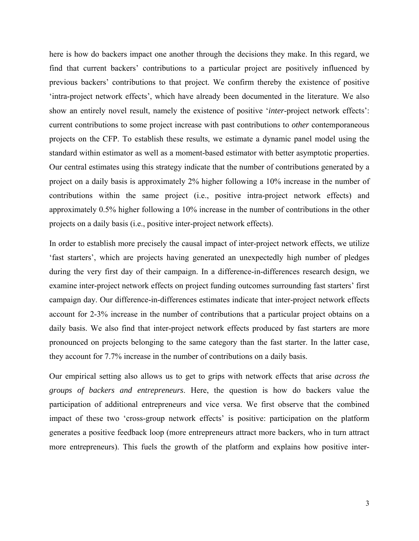here is how do backers impact one another through the decisions they make. In this regard, we find that current backers' contributions to a particular project are positively influenced by previous backers' contributions to that project. We confirm thereby the existence of positive 'intra-project network effects', which have already been documented in the literature. We also show an entirely novel result, namely the existence of positive '*inter*-project network effects': current contributions to some project increase with past contributions to *other* contemporaneous projects on the CFP. To establish these results, we estimate a dynamic panel model using the standard within estimator as well as a moment-based estimator with better asymptotic properties. Our central estimates using this strategy indicate that the number of contributions generated by a project on a daily basis is approximately 2% higher following a 10% increase in the number of contributions within the same project (i.e., positive intra-project network effects) and approximately 0.5% higher following a 10% increase in the number of contributions in the other projects on a daily basis (i.e., positive inter-project network effects).

In order to establish more precisely the causal impact of inter-project network effects, we utilize 'fast starters', which are projects having generated an unexpectedly high number of pledges during the very first day of their campaign. In a difference-in-differences research design, we examine inter-project network effects on project funding outcomes surrounding fast starters' first campaign day. Our difference-in-differences estimates indicate that inter-project network effects account for 2-3% increase in the number of contributions that a particular project obtains on a daily basis. We also find that inter-project network effects produced by fast starters are more pronounced on projects belonging to the same category than the fast starter. In the latter case, they account for 7.7% increase in the number of contributions on a daily basis.

Our empirical setting also allows us to get to grips with network effects that arise *across the groups of backers and entrepreneurs*. Here, the question is how do backers value the participation of additional entrepreneurs and vice versa. We first observe that the combined impact of these two 'cross-group network effects' is positive: participation on the platform generates a positive feedback loop (more entrepreneurs attract more backers, who in turn attract more entrepreneurs). This fuels the growth of the platform and explains how positive inter-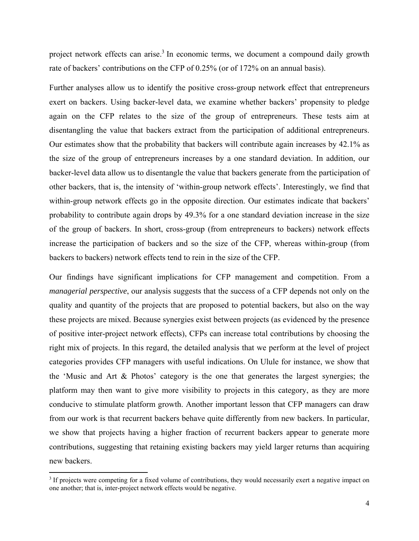project network effects can arise.<sup>3</sup> In economic terms, we document a compound daily growth rate of backers' contributions on the CFP of 0.25% (or of 172% on an annual basis).

Further analyses allow us to identify the positive cross-group network effect that entrepreneurs exert on backers. Using backer-level data, we examine whether backers' propensity to pledge again on the CFP relates to the size of the group of entrepreneurs. These tests aim at disentangling the value that backers extract from the participation of additional entrepreneurs. Our estimates show that the probability that backers will contribute again increases by 42.1% as the size of the group of entrepreneurs increases by a one standard deviation. In addition, our backer-level data allow us to disentangle the value that backers generate from the participation of other backers, that is, the intensity of 'within-group network effects'. Interestingly, we find that within-group network effects go in the opposite direction. Our estimates indicate that backers' probability to contribute again drops by 49.3% for a one standard deviation increase in the size of the group of backers. In short, cross-group (from entrepreneurs to backers) network effects increase the participation of backers and so the size of the CFP, whereas within-group (from backers to backers) network effects tend to rein in the size of the CFP.

Our findings have significant implications for CFP management and competition. From a *managerial perspective*, our analysis suggests that the success of a CFP depends not only on the quality and quantity of the projects that are proposed to potential backers, but also on the way these projects are mixed. Because synergies exist between projects (as evidenced by the presence of positive inter-project network effects), CFPs can increase total contributions by choosing the right mix of projects. In this regard, the detailed analysis that we perform at the level of project categories provides CFP managers with useful indications. On Ulule for instance, we show that the 'Music and Art & Photos' category is the one that generates the largest synergies; the platform may then want to give more visibility to projects in this category, as they are more conducive to stimulate platform growth. Another important lesson that CFP managers can draw from our work is that recurrent backers behave quite differently from new backers. In particular, we show that projects having a higher fraction of recurrent backers appear to generate more contributions, suggesting that retaining existing backers may yield larger returns than acquiring new backers.

<sup>&</sup>lt;sup>3</sup> If projects were competing for a fixed volume of contributions, they would necessarily exert a negative impact on one another; that is, inter-project network effects would be negative.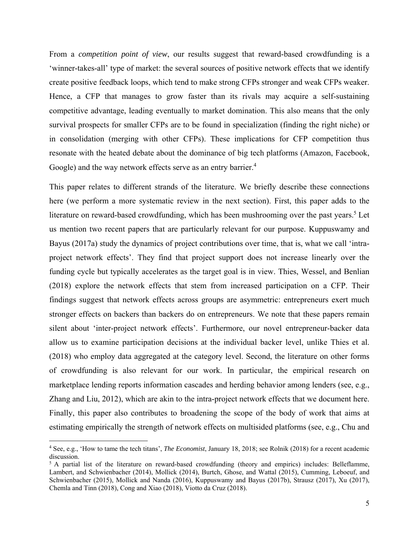From a *competition point of view*, our results suggest that reward-based crowdfunding is a 'winner-takes-all' type of market: the several sources of positive network effects that we identify create positive feedback loops, which tend to make strong CFPs stronger and weak CFPs weaker. Hence, a CFP that manages to grow faster than its rivals may acquire a self-sustaining competitive advantage, leading eventually to market domination. This also means that the only survival prospects for smaller CFPs are to be found in specialization (finding the right niche) or in consolidation (merging with other CFPs). These implications for CFP competition thus resonate with the heated debate about the dominance of big tech platforms (Amazon, Facebook, Google) and the way network effects serve as an entry barrier.<sup>4</sup>

This paper relates to different strands of the literature. We briefly describe these connections here (we perform a more systematic review in the next section). First, this paper adds to the literature on reward-based crowdfunding, which has been mushrooming over the past years.<sup>5</sup> Let us mention two recent papers that are particularly relevant for our purpose. Kuppuswamy and Bayus (2017a) study the dynamics of project contributions over time, that is, what we call 'intraproject network effects'. They find that project support does not increase linearly over the funding cycle but typically accelerates as the target goal is in view. Thies, Wessel, and Benlian (2018) explore the network effects that stem from increased participation on a CFP. Their findings suggest that network effects across groups are asymmetric: entrepreneurs exert much stronger effects on backers than backers do on entrepreneurs. We note that these papers remain silent about 'inter-project network effects'. Furthermore, our novel entrepreneur-backer data allow us to examine participation decisions at the individual backer level, unlike Thies et al. (2018) who employ data aggregated at the category level. Second, the literature on other forms of crowdfunding is also relevant for our work. In particular, the empirical research on marketplace lending reports information cascades and herding behavior among lenders (see, e.g., Zhang and Liu, 2012), which are akin to the intra-project network effects that we document here. Finally, this paper also contributes to broadening the scope of the body of work that aims at estimating empirically the strength of network effects on multisided platforms (see, e.g., Chu and

<sup>4</sup> See, e.g., 'How to tame the tech titans', *The Economist*, January 18, 2018; see Rolnik (2018) for a recent academic discussion.

 $5$  A partial list of the literature on reward-based crowdfunding (theory and empirics) includes: Belleflamme, Lambert, and Schwienbacher (2014), Mollick (2014), Burtch, Ghose, and Wattal (2015), Cumming, Leboeuf, and Schwienbacher (2015), Mollick and Nanda (2016), Kuppuswamy and Bayus (2017b), Strausz (2017), Xu (2017), Chemla and Tinn (2018), Cong and Xiao (2018), Viotto da Cruz (2018).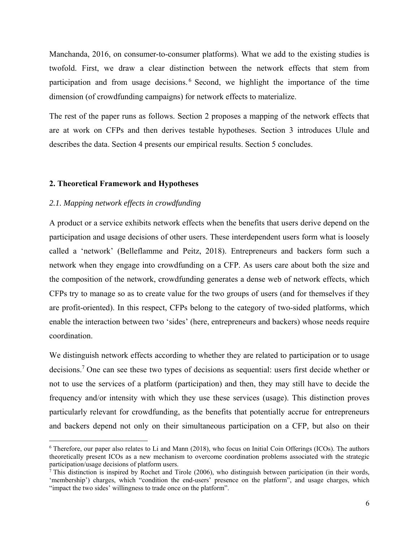Manchanda, 2016, on consumer-to-consumer platforms). What we add to the existing studies is twofold. First, we draw a clear distinction between the network effects that stem from participation and from usage decisions. 6 Second, we highlight the importance of the time dimension (of crowdfunding campaigns) for network effects to materialize.

The rest of the paper runs as follows. Section 2 proposes a mapping of the network effects that are at work on CFPs and then derives testable hypotheses. Section 3 introduces Ulule and describes the data. Section 4 presents our empirical results. Section 5 concludes.

# **2. Theoretical Framework and Hypotheses**

## *2.1. Mapping network effects in crowdfunding*

A product or a service exhibits network effects when the benefits that users derive depend on the participation and usage decisions of other users. These interdependent users form what is loosely called a 'network' (Belleflamme and Peitz, 2018). Entrepreneurs and backers form such a network when they engage into crowdfunding on a CFP. As users care about both the size and the composition of the network, crowdfunding generates a dense web of network effects, which CFPs try to manage so as to create value for the two groups of users (and for themselves if they are profit-oriented). In this respect, CFPs belong to the category of two-sided platforms, which enable the interaction between two 'sides' (here, entrepreneurs and backers) whose needs require coordination.

We distinguish network effects according to whether they are related to participation or to usage decisions.7 One can see these two types of decisions as sequential: users first decide whether or not to use the services of a platform (participation) and then, they may still have to decide the frequency and/or intensity with which they use these services (usage). This distinction proves particularly relevant for crowdfunding, as the benefits that potentially accrue for entrepreneurs and backers depend not only on their simultaneous participation on a CFP, but also on their

<sup>6</sup> Therefore, our paper also relates to Li and Mann (2018), who focus on Initial Coin Offerings (ICOs). The authors theoretically present ICOs as a new mechanism to overcome coordination problems associated with the strategic participation/usage decisions of platform users.

<sup>7</sup> This distinction is inspired by Rochet and Tirole (2006), who distinguish between participation (in their words, 'membership') charges, which "condition the end-users' presence on the platform", and usage charges, which "impact the two sides' willingness to trade once on the platform".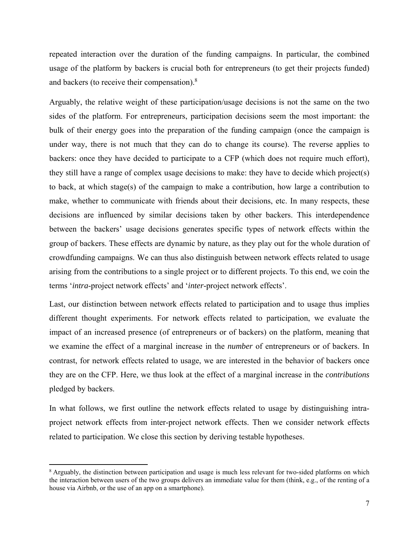repeated interaction over the duration of the funding campaigns. In particular, the combined usage of the platform by backers is crucial both for entrepreneurs (to get their projects funded) and backers (to receive their compensation).<sup>8</sup>

Arguably, the relative weight of these participation/usage decisions is not the same on the two sides of the platform. For entrepreneurs, participation decisions seem the most important: the bulk of their energy goes into the preparation of the funding campaign (once the campaign is under way, there is not much that they can do to change its course). The reverse applies to backers: once they have decided to participate to a CFP (which does not require much effort), they still have a range of complex usage decisions to make: they have to decide which project(s) to back, at which stage(s) of the campaign to make a contribution, how large a contribution to make, whether to communicate with friends about their decisions, etc. In many respects, these decisions are influenced by similar decisions taken by other backers. This interdependence between the backers' usage decisions generates specific types of network effects within the group of backers. These effects are dynamic by nature, as they play out for the whole duration of crowdfunding campaigns. We can thus also distinguish between network effects related to usage arising from the contributions to a single project or to different projects. To this end, we coin the terms '*intra*-project network effects' and '*inter*-project network effects'.

Last, our distinction between network effects related to participation and to usage thus implies different thought experiments. For network effects related to participation, we evaluate the impact of an increased presence (of entrepreneurs or of backers) on the platform, meaning that we examine the effect of a marginal increase in the *number* of entrepreneurs or of backers. In contrast, for network effects related to usage, we are interested in the behavior of backers once they are on the CFP. Here, we thus look at the effect of a marginal increase in the *contributions* pledged by backers.

In what follows, we first outline the network effects related to usage by distinguishing intraproject network effects from inter-project network effects. Then we consider network effects related to participation. We close this section by deriving testable hypotheses.

<sup>&</sup>lt;sup>8</sup> Arguably, the distinction between participation and usage is much less relevant for two-sided platforms on which the interaction between users of the two groups delivers an immediate value for them (think, e.g., of the renting of a house via Airbnb, or the use of an app on a smartphone).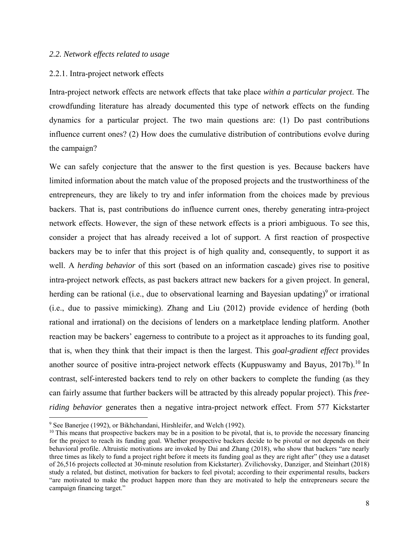# *2.2. Network effects related to usage*

# 2.2.1. Intra-project network effects

Intra-project network effects are network effects that take place *within a particular project*. The crowdfunding literature has already documented this type of network effects on the funding dynamics for a particular project. The two main questions are: (1) Do past contributions influence current ones? (2) How does the cumulative distribution of contributions evolve during the campaign?

We can safely conjecture that the answer to the first question is yes. Because backers have limited information about the match value of the proposed projects and the trustworthiness of the entrepreneurs, they are likely to try and infer information from the choices made by previous backers. That is, past contributions do influence current ones, thereby generating intra-project network effects. However, the sign of these network effects is a priori ambiguous. To see this, consider a project that has already received a lot of support. A first reaction of prospective backers may be to infer that this project is of high quality and, consequently, to support it as well. A *herding behavior* of this sort (based on an information cascade) gives rise to positive intra-project network effects, as past backers attract new backers for a given project. In general, herding can be rational (i.e., due to observational learning and Bayesian updating)<sup>9</sup> or irrational (i.e., due to passive mimicking). Zhang and Liu (2012) provide evidence of herding (both rational and irrational) on the decisions of lenders on a marketplace lending platform. Another reaction may be backers' eagerness to contribute to a project as it approaches to its funding goal, that is, when they think that their impact is then the largest. This *goal-gradient effect* provides another source of positive intra-project network effects (Kuppuswamy and Bayus,  $2017b$ ).<sup>10</sup> In contrast, self-interested backers tend to rely on other backers to complete the funding (as they can fairly assume that further backers will be attracted by this already popular project). This *freeriding behavior* generates then a negative intra-project network effect. From 577 Kickstarter

<sup>&</sup>lt;sup>9</sup> See Banerjee (1992), or Bikhchandani, Hirshleifer, and Welch (1992).

 $10$  This means that prospective backers may be in a position to be pivotal, that is, to provide the necessary financing for the project to reach its funding goal. Whether prospective backers decide to be pivotal or not depends on their behavioral profile. Altruistic motivations are invoked by Dai and Zhang (2018), who show that backers "are nearly three times as likely to fund a project right before it meets its funding goal as they are right after" (they use a dataset of 26,516 projects collected at 30-minute resolution from Kickstarter). Zvilichovsky, Danziger, and Steinhart (2018) study a related, but distinct, motivation for backers to feel pivotal; according to their experimental results, backers "are motivated to make the product happen more than they are motivated to help the entrepreneurs secure the campaign financing target."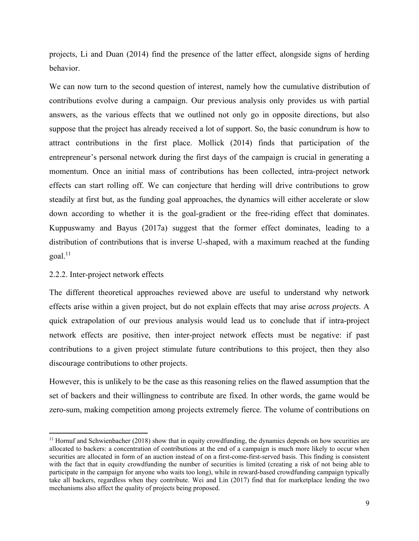projects, Li and Duan (2014) find the presence of the latter effect, alongside signs of herding behavior.

We can now turn to the second question of interest, namely how the cumulative distribution of contributions evolve during a campaign. Our previous analysis only provides us with partial answers, as the various effects that we outlined not only go in opposite directions, but also suppose that the project has already received a lot of support. So, the basic conundrum is how to attract contributions in the first place. Mollick (2014) finds that participation of the entrepreneur's personal network during the first days of the campaign is crucial in generating a momentum. Once an initial mass of contributions has been collected, intra-project network effects can start rolling off. We can conjecture that herding will drive contributions to grow steadily at first but, as the funding goal approaches, the dynamics will either accelerate or slow down according to whether it is the goal-gradient or the free-riding effect that dominates. Kuppuswamy and Bayus (2017a) suggest that the former effect dominates, leading to a distribution of contributions that is inverse U-shaped, with a maximum reached at the funding  $goal.<sup>11</sup>$ 

## 2.2.2. Inter-project network effects

The different theoretical approaches reviewed above are useful to understand why network effects arise within a given project, but do not explain effects that may arise *across projects*. A quick extrapolation of our previous analysis would lead us to conclude that if intra-project network effects are positive, then inter-project network effects must be negative: if past contributions to a given project stimulate future contributions to this project, then they also discourage contributions to other projects.

However, this is unlikely to be the case as this reasoning relies on the flawed assumption that the set of backers and their willingness to contribute are fixed. In other words, the game would be zero-sum, making competition among projects extremely fierce. The volume of contributions on

<sup>&</sup>lt;sup>11</sup> Hornuf and Schwienbacher (2018) show that in equity crowdfunding, the dynamics depends on how securities are allocated to backers: a concentration of contributions at the end of a campaign is much more likely to occur when securities are allocated in form of an auction instead of on a first-come-first-served basis. This finding is consistent with the fact that in equity crowdfunding the number of securities is limited (creating a risk of not being able to participate in the campaign for anyone who waits too long), while in reward-based crowdfunding campaign typically take all backers, regardless when they contribute. Wei and Lin (2017) find that for marketplace lending the two mechanisms also affect the quality of projects being proposed.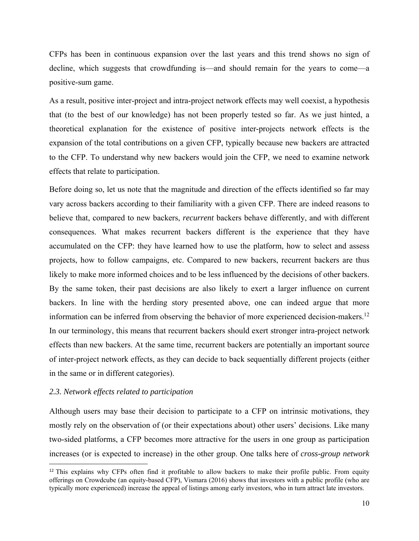CFPs has been in continuous expansion over the last years and this trend shows no sign of decline, which suggests that crowdfunding is—and should remain for the years to come—a positive-sum game.

As a result, positive inter-project and intra-project network effects may well coexist, a hypothesis that (to the best of our knowledge) has not been properly tested so far. As we just hinted, a theoretical explanation for the existence of positive inter-projects network effects is the expansion of the total contributions on a given CFP, typically because new backers are attracted to the CFP. To understand why new backers would join the CFP, we need to examine network effects that relate to participation.

Before doing so, let us note that the magnitude and direction of the effects identified so far may vary across backers according to their familiarity with a given CFP. There are indeed reasons to believe that, compared to new backers, *recurrent* backers behave differently, and with different consequences. What makes recurrent backers different is the experience that they have accumulated on the CFP: they have learned how to use the platform, how to select and assess projects, how to follow campaigns, etc. Compared to new backers, recurrent backers are thus likely to make more informed choices and to be less influenced by the decisions of other backers. By the same token, their past decisions are also likely to exert a larger influence on current backers. In line with the herding story presented above, one can indeed argue that more information can be inferred from observing the behavior of more experienced decision-makers.<sup>12</sup> In our terminology, this means that recurrent backers should exert stronger intra-project network effects than new backers. At the same time, recurrent backers are potentially an important source of inter-project network effects, as they can decide to back sequentially different projects (either in the same or in different categories).

# *2.3. Network effects related to participation*

Although users may base their decision to participate to a CFP on intrinsic motivations, they mostly rely on the observation of (or their expectations about) other users' decisions. Like many two-sided platforms, a CFP becomes more attractive for the users in one group as participation increases (or is expected to increase) in the other group. One talks here of *cross-group network* 

<sup>&</sup>lt;sup>12</sup> This explains why CFPs often find it profitable to allow backers to make their profile public. From equity offerings on Crowdcube (an equity-based CFP), Vismara (2016) shows that investors with a public profile (who are typically more experienced) increase the appeal of listings among early investors, who in turn attract late investors.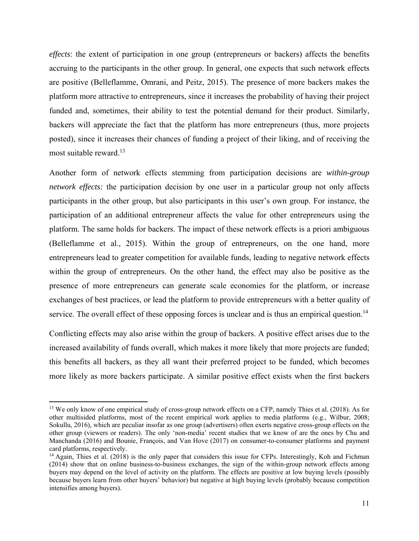*effects*: the extent of participation in one group (entrepreneurs or backers) affects the benefits accruing to the participants in the other group. In general, one expects that such network effects are positive (Belleflamme, Omrani, and Peitz, 2015). The presence of more backers makes the platform more attractive to entrepreneurs, since it increases the probability of having their project funded and, sometimes, their ability to test the potential demand for their product. Similarly, backers will appreciate the fact that the platform has more entrepreneurs (thus, more projects posted), since it increases their chances of funding a project of their liking, and of receiving the most suitable reward. $13$ 

Another form of network effects stemming from participation decisions are *within-group network effects:* the participation decision by one user in a particular group not only affects participants in the other group, but also participants in this user's own group. For instance, the participation of an additional entrepreneur affects the value for other entrepreneurs using the platform. The same holds for backers. The impact of these network effects is a priori ambiguous (Belleflamme et al., 2015). Within the group of entrepreneurs, on the one hand, more entrepreneurs lead to greater competition for available funds, leading to negative network effects within the group of entrepreneurs. On the other hand, the effect may also be positive as the presence of more entrepreneurs can generate scale economies for the platform, or increase exchanges of best practices, or lead the platform to provide entrepreneurs with a better quality of service. The overall effect of these opposing forces is unclear and is thus an empirical question.<sup>14</sup>

Conflicting effects may also arise within the group of backers. A positive effect arises due to the increased availability of funds overall, which makes it more likely that more projects are funded; this benefits all backers, as they all want their preferred project to be funded, which becomes more likely as more backers participate. A similar positive effect exists when the first backers

<sup>&</sup>lt;sup>13</sup> We only know of one empirical study of cross-group network effects on a CFP, namely Thies et al. (2018). As for other multisided platforms, most of the recent empirical work applies to media platforms (e.g., Wilbur, 2008; Sokullu, 2016), which are peculiar insofar as one group (advertisers) often exerts negative cross-group effects on the other group (viewers or readers). The only 'non-media' recent studies that we know of are the ones by Chu and Manchanda (2016) and Bounie, François, and Van Hove (2017) on consumer-to-consumer platforms and payment card platforms, respectively.

<sup>&</sup>lt;sup>14</sup> Again, Thies et al. (2018) is the only paper that considers this issue for CFPs. Interestingly, Koh and Fichman (2014) show that on online business-to-business exchanges, the sign of the within-group network effects among buyers may depend on the level of activity on the platform. The effects are positive at low buying levels (possibly because buyers learn from other buyers' behavior) but negative at high buying levels (probably because competition intensifies among buyers).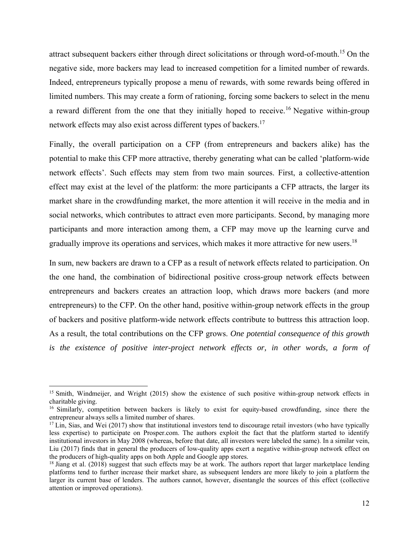attract subsequent backers either through direct solicitations or through word-of-mouth.<sup>15</sup> On the negative side, more backers may lead to increased competition for a limited number of rewards. Indeed, entrepreneurs typically propose a menu of rewards, with some rewards being offered in limited numbers. This may create a form of rationing, forcing some backers to select in the menu a reward different from the one that they initially hoped to receive.<sup>16</sup> Negative within-group network effects may also exist across different types of backers.17

Finally, the overall participation on a CFP (from entrepreneurs and backers alike) has the potential to make this CFP more attractive, thereby generating what can be called 'platform-wide network effects'. Such effects may stem from two main sources. First, a collective-attention effect may exist at the level of the platform: the more participants a CFP attracts, the larger its market share in the crowdfunding market, the more attention it will receive in the media and in social networks, which contributes to attract even more participants. Second, by managing more participants and more interaction among them, a CFP may move up the learning curve and gradually improve its operations and services, which makes it more attractive for new users.<sup>18</sup>

In sum, new backers are drawn to a CFP as a result of network effects related to participation. On the one hand, the combination of bidirectional positive cross-group network effects between entrepreneurs and backers creates an attraction loop, which draws more backers (and more entrepreneurs) to the CFP. On the other hand, positive within-group network effects in the group of backers and positive platform-wide network effects contribute to buttress this attraction loop. As a result, the total contributions on the CFP grows. *One potential consequence of this growth is the existence of positive inter-project network effects or, in other words, a form of* 

<sup>&</sup>lt;sup>15</sup> Smith, Windmeijer, and Wright (2015) show the existence of such positive within-group network effects in charitable giving.

<sup>&</sup>lt;sup>16</sup> Similarly, competition between backers is likely to exist for equity-based crowdfunding, since there the entrepreneur always sells a limited number of shares.

<sup>&</sup>lt;sup>17</sup> Lin, Sias, and Wei (2017) show that institutional investors tend to discourage retail investors (who have typically less expertise) to participate on Prosper.com. The authors exploit the fact that the platform started to identify institutional investors in May 2008 (whereas, before that date, all investors were labeled the same). In a similar vein, Liu (2017) finds that in general the producers of low-quality apps exert a negative within-group network effect on the producers of high-quality apps on both Apple and Google app stores.

 $18$  Jiang et al. (2018) suggest that such effects may be at work. The authors report that larger marketplace lending platforms tend to further increase their market share, as subsequent lenders are more likely to join a platform the larger its current base of lenders. The authors cannot, however, disentangle the sources of this effect (collective attention or improved operations).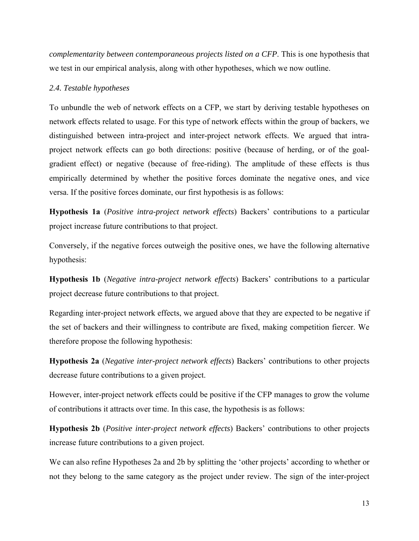*complementarity between contemporaneous projects listed on a CFP*. This is one hypothesis that we test in our empirical analysis, along with other hypotheses, which we now outline.

# *2.4. Testable hypotheses*

To unbundle the web of network effects on a CFP, we start by deriving testable hypotheses on network effects related to usage. For this type of network effects within the group of backers, we distinguished between intra-project and inter-project network effects. We argued that intraproject network effects can go both directions: positive (because of herding, or of the goalgradient effect) or negative (because of free-riding). The amplitude of these effects is thus empirically determined by whether the positive forces dominate the negative ones, and vice versa. If the positive forces dominate, our first hypothesis is as follows:

**Hypothesis 1a** (*Positive intra-project network effects*) Backers' contributions to a particular project increase future contributions to that project.

Conversely, if the negative forces outweigh the positive ones, we have the following alternative hypothesis:

**Hypothesis 1b** (*Negative intra-project network effects*) Backers' contributions to a particular project decrease future contributions to that project.

Regarding inter-project network effects, we argued above that they are expected to be negative if the set of backers and their willingness to contribute are fixed, making competition fiercer. We therefore propose the following hypothesis:

**Hypothesis 2a** (*Negative inter-project network effects*) Backers' contributions to other projects decrease future contributions to a given project.

However, inter-project network effects could be positive if the CFP manages to grow the volume of contributions it attracts over time. In this case, the hypothesis is as follows:

**Hypothesis 2b** (*Positive inter-project network effects*) Backers' contributions to other projects increase future contributions to a given project.

We can also refine Hypotheses 2a and 2b by splitting the 'other projects' according to whether or not they belong to the same category as the project under review. The sign of the inter-project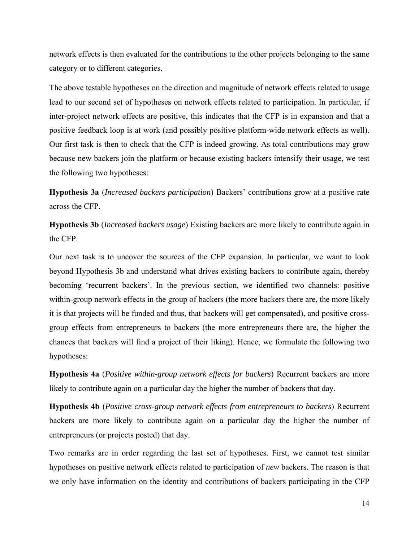network effects is then evaluated for the contributions to the other projects belonging to the same category or to different categories.

The above testable hypotheses on the direction and magnitude of network effects related to usage lead to our second set of hypotheses on network effects related to participation. In particular, if inter-project network effects are positive, this indicates that the CFP is in expansion and that a positive feedback loop is at work (and possibly positive platform-wide network effects as well). Our first task is then to check that the CFP is indeed growing. As total contributions may grow because new backers join the platform or because existing backers intensify their usage, we test the following two hypotheses:

**Hypothesis 3a** (*Increased backers participation*) Backers' contributions grow at a positive rate across the CFP.

**Hypothesis 3b** (*Increased backers usage*) Existing backers are more likely to contribute again in the CFP.

Our next task is to uncover the sources of the CFP expansion. In particular, we want to look beyond Hypothesis 3b and understand what drives existing backers to contribute again, thereby becoming 'recurrent backers'. In the previous section, we identified two channels: positive within-group network effects in the group of backers (the more backers there are, the more likely it is that projects will be funded and thus, that backers will get compensated), and positive crossgroup effects from entrepreneurs to backers (the more entrepreneurs there are, the higher the chances that backers will find a project of their liking). Hence, we formulate the following two hypotheses:

**Hypothesis 4a** (*Positive within-group network effects for backers*) Recurrent backers are more likely to contribute again on a particular day the higher the number of backers that day.

**Hypothesis 4b** (*Positive cross-group network effects from entrepreneurs to backers*) Recurrent backers are more likely to contribute again on a particular day the higher the number of entrepreneurs (or projects posted) that day.

Two remarks are in order regarding the last set of hypotheses. First, we cannot test similar hypotheses on positive network effects related to participation of *new* backers. The reason is that we only have information on the identity and contributions of backers participating in the CFP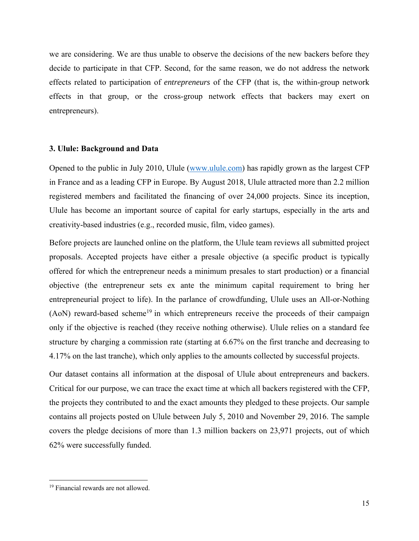we are considering. We are thus unable to observe the decisions of the new backers before they decide to participate in that CFP. Second, for the same reason, we do not address the network effects related to participation of *entrepreneurs* of the CFP (that is, the within-group network effects in that group, or the cross-group network effects that backers may exert on entrepreneurs).

## **3. Ulule: Background and Data**

Opened to the public in July 2010, Ulule (www.ulule.com) has rapidly grown as the largest CFP in France and as a leading CFP in Europe. By August 2018, Ulule attracted more than 2.2 million registered members and facilitated the financing of over 24,000 projects. Since its inception, Ulule has become an important source of capital for early startups, especially in the arts and creativity-based industries (e.g., recorded music, film, video games).

Before projects are launched online on the platform, the Ulule team reviews all submitted project proposals. Accepted projects have either a presale objective (a specific product is typically offered for which the entrepreneur needs a minimum presales to start production) or a financial objective (the entrepreneur sets ex ante the minimum capital requirement to bring her entrepreneurial project to life). In the parlance of crowdfunding, Ulule uses an All-or-Nothing (AoN) reward-based scheme<sup>19</sup> in which entrepreneurs receive the proceeds of their campaign only if the objective is reached (they receive nothing otherwise). Ulule relies on a standard fee structure by charging a commission rate (starting at 6.67% on the first tranche and decreasing to 4.17% on the last tranche), which only applies to the amounts collected by successful projects.

Our dataset contains all information at the disposal of Ulule about entrepreneurs and backers. Critical for our purpose, we can trace the exact time at which all backers registered with the CFP, the projects they contributed to and the exact amounts they pledged to these projects. Our sample contains all projects posted on Ulule between July 5, 2010 and November 29, 2016. The sample covers the pledge decisions of more than 1.3 million backers on 23,971 projects, out of which 62% were successfully funded.

 <sup>19</sup> Financial rewards are not allowed.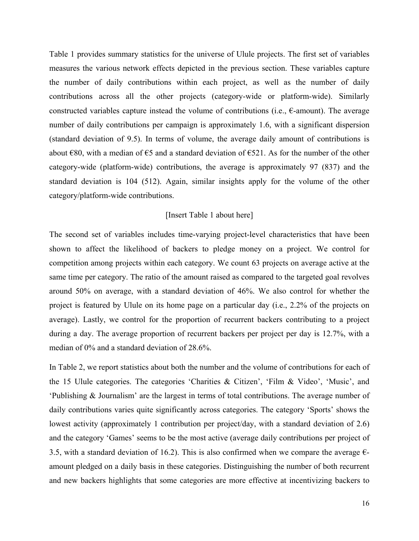Table 1 provides summary statistics for the universe of Ulule projects. The first set of variables measures the various network effects depicted in the previous section. These variables capture the number of daily contributions within each project, as well as the number of daily contributions across all the other projects (category-wide or platform-wide). Similarly constructed variables capture instead the volume of contributions (i.e.,  $\epsilon$ -amount). The average number of daily contributions per campaign is approximately 1.6, with a significant dispersion (standard deviation of 9.5). In terms of volume, the average daily amount of contributions is about  $\epsilon$ 80, with a median of  $\epsilon$ 5 and a standard deviation of  $\epsilon$ 521. As for the number of the other category-wide (platform-wide) contributions, the average is approximately 97 (837) and the standard deviation is 104 (512). Again, similar insights apply for the volume of the other category/platform-wide contributions.

### [Insert Table 1 about here]

The second set of variables includes time-varying project-level characteristics that have been shown to affect the likelihood of backers to pledge money on a project. We control for competition among projects within each category. We count 63 projects on average active at the same time per category. The ratio of the amount raised as compared to the targeted goal revolves around 50% on average, with a standard deviation of 46%. We also control for whether the project is featured by Ulule on its home page on a particular day (i.e., 2.2% of the projects on average). Lastly, we control for the proportion of recurrent backers contributing to a project during a day. The average proportion of recurrent backers per project per day is 12.7%, with a median of 0% and a standard deviation of 28.6%.

In Table 2, we report statistics about both the number and the volume of contributions for each of the 15 Ulule categories. The categories 'Charities & Citizen', 'Film & Video', 'Music', and 'Publishing & Journalism' are the largest in terms of total contributions. The average number of daily contributions varies quite significantly across categories. The category 'Sports' shows the lowest activity (approximately 1 contribution per project/day, with a standard deviation of 2.6) and the category 'Games' seems to be the most active (average daily contributions per project of 3.5, with a standard deviation of 16.2). This is also confirmed when we compare the average  $\epsilon$ amount pledged on a daily basis in these categories. Distinguishing the number of both recurrent and new backers highlights that some categories are more effective at incentivizing backers to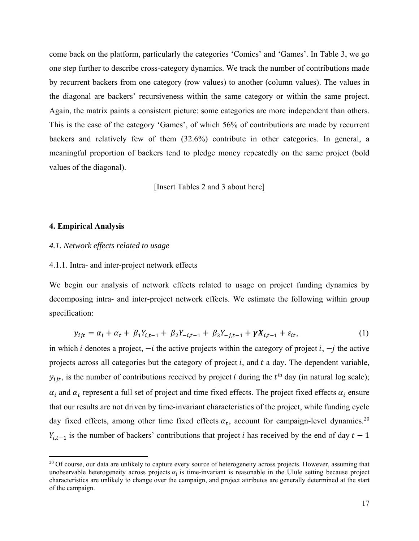come back on the platform, particularly the categories 'Comics' and 'Games'. In Table 3, we go one step further to describe cross-category dynamics. We track the number of contributions made by recurrent backers from one category (row values) to another (column values). The values in the diagonal are backers' recursiveness within the same category or within the same project. Again, the matrix paints a consistent picture: some categories are more independent than others. This is the case of the category 'Games', of which 56% of contributions are made by recurrent backers and relatively few of them (32.6%) contribute in other categories. In general, a meaningful proportion of backers tend to pledge money repeatedly on the same project (bold values of the diagonal).

[Insert Tables 2 and 3 about here]

### **4. Empirical Analysis**

## *4.1. Network effects related to usage*

### 4.1.1. Intra- and inter-project network effects

We begin our analysis of network effects related to usage on project funding dynamics by decomposing intra- and inter-project network effects. We estimate the following within group specification:

$$
y_{ijt} = \alpha_i + \alpha_t + \beta_1 Y_{i,t-1} + \beta_2 Y_{-i,t-1} + \beta_3 Y_{-j,t-1} + \gamma X_{i,t-1} + \varepsilon_{it},
$$
\n(1)

in which *i* denotes a project,  $-i$  the active projects within the category of project *i*,  $-i$  the active projects across all categories but the category of project  $i$ , and  $t$  a day. The dependent variable,  $y_{iit}$ , is the number of contributions received by project *i* during the  $t<sup>th</sup>$  day (in natural log scale);  $\alpha_i$  and  $\alpha_t$  represent a full set of project and time fixed effects. The project fixed effects  $\alpha_i$  ensure that our results are not driven by time-invariant characteristics of the project, while funding cycle day fixed effects, among other time fixed effects  $\alpha_t$ , account for campaign-level dynamics.<sup>20</sup>  $Y_{i,t-1}$  is the number of backers' contributions that project *i* has received by the end of day  $t-1$ 

 $20$  Of course, our data are unlikely to capture every source of heterogeneity across projects. However, assuming that unobservable heterogeneity across projects  $\alpha_i$  is time-invariant is reasonable in the Ulule setting because project characteristics are unlikely to change over the campaign, and project attributes are generally determined at the start of the campaign.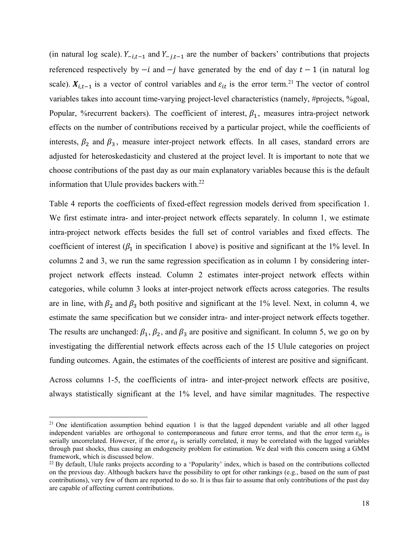(in natural log scale).  $Y_{-i,t-1}$  and  $Y_{-i,t-1}$  are the number of backers' contributions that projects referenced respectively by  $-i$  and  $-j$  have generated by the end of day  $t-1$  (in natural log scale).  $X_{i,t-1}$  is a vector of control variables and  $\varepsilon_{it}$  is the error term.<sup>21</sup> The vector of control variables takes into account time-varying project-level characteristics (namely, #projects, %goal, Popular, %recurrent backers). The coefficient of interest,  $\beta_1$ , measures intra-project network effects on the number of contributions received by a particular project, while the coefficients of interests,  $\beta_2$  and  $\beta_3$ , measure inter-project network effects. In all cases, standard errors are adjusted for heteroskedasticity and clustered at the project level. It is important to note that we choose contributions of the past day as our main explanatory variables because this is the default information that Ulule provides backers with.<sup>22</sup>

Table 4 reports the coefficients of fixed-effect regression models derived from specification 1. We first estimate intra- and inter-project network effects separately. In column 1, we estimate intra-project network effects besides the full set of control variables and fixed effects. The coefficient of interest ( $\beta_1$  in specification 1 above) is positive and significant at the 1% level. In columns 2 and 3, we run the same regression specification as in column 1 by considering interproject network effects instead. Column 2 estimates inter-project network effects within categories, while column 3 looks at inter-project network effects across categories. The results are in line, with  $\beta_2$  and  $\beta_3$  both positive and significant at the 1% level. Next, in column 4, we estimate the same specification but we consider intra- and inter-project network effects together. The results are unchanged:  $\beta_1$ ,  $\beta_2$ , and  $\beta_3$  are positive and significant. In column 5, we go on by investigating the differential network effects across each of the 15 Ulule categories on project funding outcomes. Again, the estimates of the coefficients of interest are positive and significant.

Across columns 1-5, the coefficients of intra- and inter-project network effects are positive, always statistically significant at the 1% level, and have similar magnitudes. The respective

<sup>&</sup>lt;sup>21</sup> One identification assumption behind equation 1 is that the lagged dependent variable and all other lagged independent variables are orthogonal to contemporaneous and future error terms, and that the error term  $\varepsilon_{it}$  is serially uncorrelated. However, if the error  $\varepsilon_{it}$  is serially correlated, it may be correlated with the lagged variables through past shocks, thus causing an endogeneity problem for estimation. We deal with this concern using a GMM framework, which is discussed below.

 $22$  By default, Ulule ranks projects according to a 'Popularity' index, which is based on the contributions collected on the previous day. Although backers have the possibility to opt for other rankings (e.g., based on the sum of past contributions), very few of them are reported to do so. It is thus fair to assume that only contributions of the past day are capable of affecting current contributions.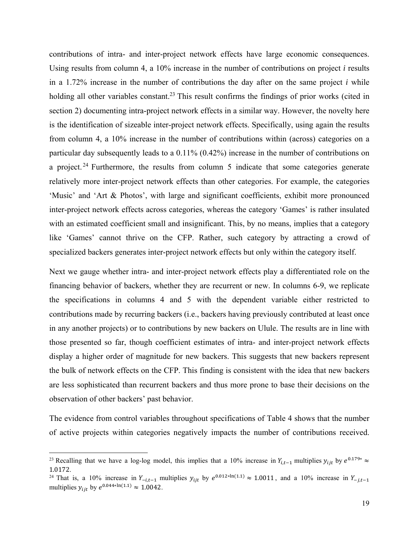contributions of intra- and inter-project network effects have large economic consequences. Using results from column 4, a 10% increase in the number of contributions on project *i* results in a 1.72% increase in the number of contributions the day after on the same project *i* while holding all other variables constant.<sup>23</sup> This result confirms the findings of prior works (cited in section 2) documenting intra-project network effects in a similar way. However, the novelty here is the identification of sizeable inter-project network effects. Specifically, using again the results from column 4, a 10% increase in the number of contributions within (across) categories on a particular day subsequently leads to a 0.11% (0.42%) increase in the number of contributions on a project.<sup>24</sup> Furthermore, the results from column 5 indicate that some categories generate relatively more inter-project network effects than other categories. For example, the categories 'Music' and 'Art & Photos', with large and significant coefficients, exhibit more pronounced inter-project network effects across categories, whereas the category 'Games' is rather insulated with an estimated coefficient small and insignificant. This, by no means, implies that a category like 'Games' cannot thrive on the CFP. Rather, such category by attracting a crowd of specialized backers generates inter-project network effects but only within the category itself.

Next we gauge whether intra- and inter-project network effects play a differentiated role on the financing behavior of backers, whether they are recurrent or new. In columns 6-9, we replicate the specifications in columns 4 and 5 with the dependent variable either restricted to contributions made by recurring backers (i.e., backers having previously contributed at least once in any another projects) or to contributions by new backers on Ulule. The results are in line with those presented so far, though coefficient estimates of intra- and inter-project network effects display a higher order of magnitude for new backers. This suggests that new backers represent the bulk of network effects on the CFP. This finding is consistent with the idea that new backers are less sophisticated than recurrent backers and thus more prone to base their decisions on the observation of other backers' past behavior.

The evidence from control variables throughout specifications of Table 4 shows that the number of active projects within categories negatively impacts the number of contributions received.

<sup>&</sup>lt;sup>23</sup> Recalling that we have a log-log model, this implies that a 10% increase in  $Y_{i,t-1}$  multiplies  $y_{ijt}$  by  $e^{0.179*} \approx$ 1.0172.<br><sup>24</sup> That is, a 10% increase in  $Y_{-i,t-1}$  multiplies  $y_{i,j}$  by  $e^{0.012 * ln(1.1)} \approx 1.0011$ , and a 10% increase in  $Y_{-j,t-1}$ 

multiplies  $y_{iit}$  by  $e^{0.044 * ln(1.1)} \approx 1.0042$ .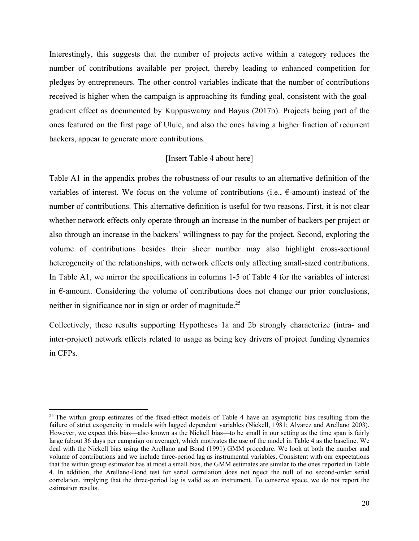Interestingly, this suggests that the number of projects active within a category reduces the number of contributions available per project, thereby leading to enhanced competition for pledges by entrepreneurs. The other control variables indicate that the number of contributions received is higher when the campaign is approaching its funding goal, consistent with the goalgradient effect as documented by Kuppuswamy and Bayus (2017b). Projects being part of the ones featured on the first page of Ulule, and also the ones having a higher fraction of recurrent backers, appear to generate more contributions.

# [Insert Table 4 about here]

Table A1 in the appendix probes the robustness of our results to an alternative definition of the variables of interest. We focus on the volume of contributions (i.e.,  $\epsilon$ -amount) instead of the number of contributions. This alternative definition is useful for two reasons. First, it is not clear whether network effects only operate through an increase in the number of backers per project or also through an increase in the backers' willingness to pay for the project. Second, exploring the volume of contributions besides their sheer number may also highlight cross-sectional heterogeneity of the relationships, with network effects only affecting small-sized contributions. In Table A1, we mirror the specifications in columns 1-5 of Table 4 for the variables of interest in  $\epsilon$ -amount. Considering the volume of contributions does not change our prior conclusions, neither in significance nor in sign or order of magnitude.<sup>25</sup>

Collectively, these results supporting Hypotheses 1a and 2b strongly characterize (intra- and inter-project) network effects related to usage as being key drivers of project funding dynamics in CFPs.

<sup>&</sup>lt;sup>25</sup> The within group estimates of the fixed-effect models of Table 4 have an asymptotic bias resulting from the failure of strict exogeneity in models with lagged dependent variables (Nickell, 1981; Alvarez and Arellano 2003). However, we expect this bias—also known as the Nickell bias—to be small in our setting as the time span is fairly large (about 36 days per campaign on average), which motivates the use of the model in Table 4 as the baseline. We deal with the Nickell bias using the Arellano and Bond (1991) GMM procedure. We look at both the number and volume of contributions and we include three-period lag as instrumental variables. Consistent with our expectations that the within group estimator has at most a small bias, the GMM estimates are similar to the ones reported in Table 4. In addition, the Arellano-Bond test for serial correlation does not reject the null of no second-order serial correlation, implying that the three-period lag is valid as an instrument. To conserve space, we do not report the estimation results.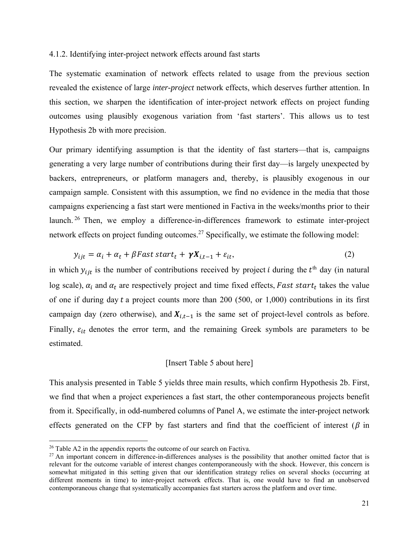### 4.1.2. Identifying inter-project network effects around fast starts

The systematic examination of network effects related to usage from the previous section revealed the existence of large *inter-project* network effects, which deserves further attention. In this section, we sharpen the identification of inter-project network effects on project funding outcomes using plausibly exogenous variation from 'fast starters'. This allows us to test Hypothesis 2b with more precision.

Our primary identifying assumption is that the identity of fast starters—that is, campaigns generating a very large number of contributions during their first day—is largely unexpected by backers, entrepreneurs, or platform managers and, thereby, is plausibly exogenous in our campaign sample. Consistent with this assumption, we find no evidence in the media that those campaigns experiencing a fast start were mentioned in Factiva in the weeks/months prior to their launch. 26 Then, we employ a difference-in-differences framework to estimate inter-project network effects on project funding outcomes.<sup>27</sup> Specifically, we estimate the following model:

$$
y_{ijt} = \alpha_i + \alpha_t + \beta Fast \, start_t + \gamma X_{i,t-1} + \varepsilon_{it},\tag{2}
$$

in which  $y_{i j t}$  is the number of contributions received by project *i* during the  $t<sup>th</sup>$  day (in natural log scale),  $\alpha_i$  and  $\alpha_t$  are respectively project and time fixed effects, Fast start<sub>t</sub> takes the value of one if during day  $t$  a project counts more than 200 (500, or 1,000) contributions in its first campaign day (zero otherwise), and  $X_{i,t-1}$  is the same set of project-level controls as before. Finally,  $\varepsilon_{it}$  denotes the error term, and the remaining Greek symbols are parameters to be estimated.

### [Insert Table 5 about here]

This analysis presented in Table 5 yields three main results, which confirm Hypothesis 2b. First, we find that when a project experiences a fast start, the other contemporaneous projects benefit from it. Specifically, in odd-numbered columns of Panel A, we estimate the inter-project network effects generated on the CFP by fast starters and find that the coefficient of interest ( $\beta$  in

<sup>&</sup>lt;sup>26</sup> Table A2 in the appendix reports the outcome of our search on Factiva.

<sup>&</sup>lt;sup>27</sup> An important concern in difference-in-differences analyses is the possibility that another omitted factor that is relevant for the outcome variable of interest changes contemporaneously with the shock. However, this concern is somewhat mitigated in this setting given that our identification strategy relies on several shocks (occurring at different moments in time) to inter-project network effects. That is, one would have to find an unobserved contemporaneous change that systematically accompanies fast starters across the platform and over time.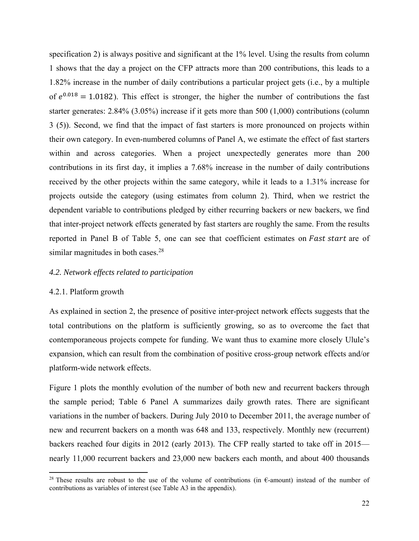specification 2) is always positive and significant at the 1% level. Using the results from column 1 shows that the day a project on the CFP attracts more than 200 contributions, this leads to a 1.82% increase in the number of daily contributions a particular project gets (i.e., by a multiple of  $e^{0.018} = 1.0182$ ). This effect is stronger, the higher the number of contributions the fast starter generates: 2.84% (3.05%) increase if it gets more than 500 (1,000) contributions (column 3 (5)). Second, we find that the impact of fast starters is more pronounced on projects within their own category. In even-numbered columns of Panel A, we estimate the effect of fast starters within and across categories. When a project unexpectedly generates more than 200 contributions in its first day, it implies a 7.68% increase in the number of daily contributions received by the other projects within the same category, while it leads to a 1.31% increase for projects outside the category (using estimates from column 2). Third, when we restrict the dependent variable to contributions pledged by either recurring backers or new backers, we find that inter-project network effects generated by fast starters are roughly the same. From the results reported in Panel B of Table 5, one can see that coefficient estimates on Fast start are of similar magnitudes in both cases.<sup>28</sup>

### *4.2. Network effects related to participation*

### 4.2.1. Platform growth

As explained in section 2, the presence of positive inter-project network effects suggests that the total contributions on the platform is sufficiently growing, so as to overcome the fact that contemporaneous projects compete for funding. We want thus to examine more closely Ulule's expansion, which can result from the combination of positive cross-group network effects and/or platform-wide network effects.

Figure 1 plots the monthly evolution of the number of both new and recurrent backers through the sample period; Table 6 Panel A summarizes daily growth rates. There are significant variations in the number of backers. During July 2010 to December 2011, the average number of new and recurrent backers on a month was 648 and 133, respectively. Monthly new (recurrent) backers reached four digits in 2012 (early 2013). The CFP really started to take off in 2015 nearly 11,000 recurrent backers and 23,000 new backers each month, and about 400 thousands

<sup>&</sup>lt;sup>28</sup> These results are robust to the use of the volume of contributions (in  $\epsilon$ -amount) instead of the number of contributions as variables of interest (see Table A3 in the appendix).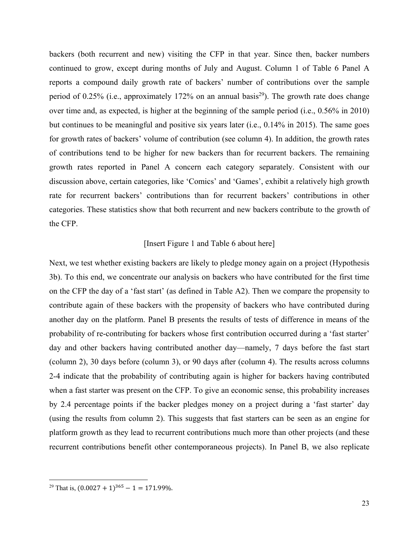backers (both recurrent and new) visiting the CFP in that year. Since then, backer numbers continued to grow, except during months of July and August. Column 1 of Table 6 Panel A reports a compound daily growth rate of backers' number of contributions over the sample period of 0.25% (i.e., approximately 172% on an annual basis<sup>29</sup>). The growth rate does change over time and, as expected, is higher at the beginning of the sample period (i.e., 0.56% in 2010) but continues to be meaningful and positive six years later (i.e., 0.14% in 2015). The same goes for growth rates of backers' volume of contribution (see column 4). In addition, the growth rates of contributions tend to be higher for new backers than for recurrent backers. The remaining growth rates reported in Panel A concern each category separately. Consistent with our discussion above, certain categories, like 'Comics' and 'Games', exhibit a relatively high growth rate for recurrent backers' contributions than for recurrent backers' contributions in other categories. These statistics show that both recurrent and new backers contribute to the growth of the CFP.

### [Insert Figure 1 and Table 6 about here]

Next, we test whether existing backers are likely to pledge money again on a project (Hypothesis 3b). To this end, we concentrate our analysis on backers who have contributed for the first time on the CFP the day of a 'fast start' (as defined in Table A2). Then we compare the propensity to contribute again of these backers with the propensity of backers who have contributed during another day on the platform. Panel B presents the results of tests of difference in means of the probability of re-contributing for backers whose first contribution occurred during a 'fast starter' day and other backers having contributed another day—namely, 7 days before the fast start (column 2), 30 days before (column 3), or 90 days after (column 4). The results across columns 2-4 indicate that the probability of contributing again is higher for backers having contributed when a fast starter was present on the CFP. To give an economic sense, this probability increases by 2.4 percentage points if the backer pledges money on a project during a 'fast starter' day (using the results from column 2). This suggests that fast starters can be seen as an engine for platform growth as they lead to recurrent contributions much more than other projects (and these recurrent contributions benefit other contemporaneous projects). In Panel B, we also replicate

<sup>&</sup>lt;sup>29</sup> That is,  $(0.0027 + 1)^{365} - 1 = 171.99\%$ .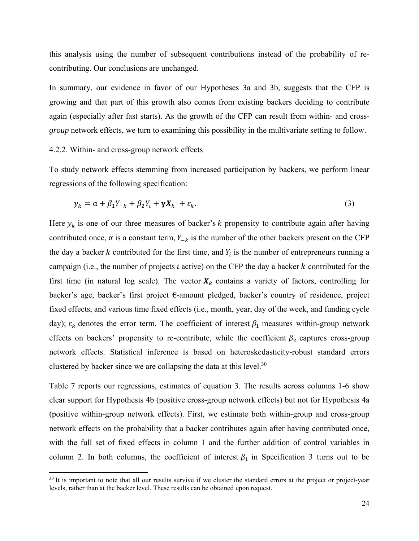this analysis using the number of subsequent contributions instead of the probability of recontributing. Our conclusions are unchanged.

In summary, our evidence in favor of our Hypotheses 3a and 3b, suggests that the CFP is growing and that part of this growth also comes from existing backers deciding to contribute again (especially after fast starts). As the growth of the CFP can result from within- and cross*group* network effects, we turn to examining this possibility in the multivariate setting to follow.

### 4.2.2. Within- and cross-group network effects

To study network effects stemming from increased participation by backers, we perform linear regressions of the following specification:

$$
y_k = \alpha + \beta_1 Y_{-k} + \beta_2 Y_i + \gamma X_k + \varepsilon_k. \tag{3}
$$

Here  $y_k$  is one of our three measures of backer's k propensity to contribute again after having contributed once,  $\alpha$  is a constant term,  $Y_{-k}$  is the number of the other backers present on the CFP the day a backer  $k$  contributed for the first time, and  $Y_i$  is the number of entrepreneurs running a campaign (i.e., the number of projects  $i$  active) on the CFP the day a backer  $k$  contributed for the first time (in natural log scale). The vector  $X_k$  contains a variety of factors, controlling for backer's age, backer's first project €-amount pledged, backer's country of residence, project fixed effects, and various time fixed effects (i.e., month, year, day of the week, and funding cycle day);  $\varepsilon_k$  denotes the error term. The coefficient of interest  $\beta_1$  measures within-group network effects on backers' propensity to re-contribute, while the coefficient  $\beta_2$  captures cross-group network effects. Statistical inference is based on heteroskedasticity-robust standard errors clustered by backer since we are collapsing the data at this level. $30$ 

Table 7 reports our regressions, estimates of equation 3. The results across columns 1-6 show clear support for Hypothesis 4b (positive cross-group network effects) but not for Hypothesis 4a (positive within-group network effects). First, we estimate both within-group and cross-group network effects on the probability that a backer contributes again after having contributed once, with the full set of fixed effects in column 1 and the further addition of control variables in column 2. In both columns, the coefficient of interest  $\beta_1$  in Specification 3 turns out to be

<sup>&</sup>lt;sup>30</sup> It is important to note that all our results survive if we cluster the standard errors at the project or project-year levels, rather than at the backer level. These results can be obtained upon request.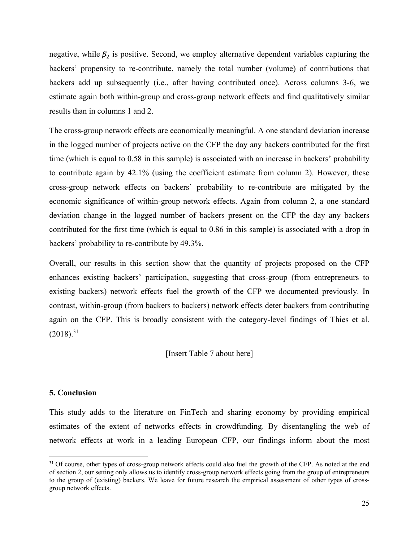negative, while  $\beta_2$  is positive. Second, we employ alternative dependent variables capturing the backers' propensity to re-contribute, namely the total number (volume) of contributions that backers add up subsequently (i.e., after having contributed once). Across columns 3-6, we estimate again both within-group and cross-group network effects and find qualitatively similar results than in columns 1 and 2.

The cross-group network effects are economically meaningful. A one standard deviation increase in the logged number of projects active on the CFP the day any backers contributed for the first time (which is equal to 0.58 in this sample) is associated with an increase in backers' probability to contribute again by 42.1% (using the coefficient estimate from column 2). However, these cross-group network effects on backers' probability to re-contribute are mitigated by the economic significance of within-group network effects. Again from column 2, a one standard deviation change in the logged number of backers present on the CFP the day any backers contributed for the first time (which is equal to 0.86 in this sample) is associated with a drop in backers' probability to re-contribute by 49.3%.

Overall, our results in this section show that the quantity of projects proposed on the CFP enhances existing backers' participation, suggesting that cross-group (from entrepreneurs to existing backers) network effects fuel the growth of the CFP we documented previously. In contrast, within-group (from backers to backers) network effects deter backers from contributing again on the CFP. This is broadly consistent with the category-level findings of Thies et al.  $(2018).^{31}$ 

[Insert Table 7 about here]

# **5. Conclusion**

This study adds to the literature on FinTech and sharing economy by providing empirical estimates of the extent of networks effects in crowdfunding. By disentangling the web of network effects at work in a leading European CFP, our findings inform about the most

<sup>&</sup>lt;sup>31</sup> Of course, other types of cross-group network effects could also fuel the growth of the CFP. As noted at the end of section 2, our setting only allows us to identify cross-group network effects going from the group of entrepreneurs to the group of (existing) backers. We leave for future research the empirical assessment of other types of crossgroup network effects.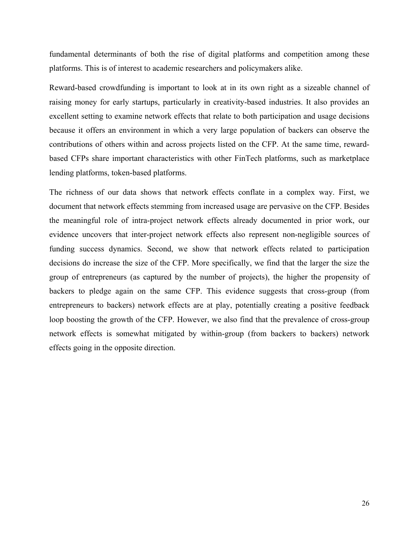fundamental determinants of both the rise of digital platforms and competition among these platforms. This is of interest to academic researchers and policymakers alike.

Reward-based crowdfunding is important to look at in its own right as a sizeable channel of raising money for early startups, particularly in creativity-based industries. It also provides an excellent setting to examine network effects that relate to both participation and usage decisions because it offers an environment in which a very large population of backers can observe the contributions of others within and across projects listed on the CFP. At the same time, rewardbased CFPs share important characteristics with other FinTech platforms, such as marketplace lending platforms, token-based platforms.

The richness of our data shows that network effects conflate in a complex way. First, we document that network effects stemming from increased usage are pervasive on the CFP. Besides the meaningful role of intra-project network effects already documented in prior work, our evidence uncovers that inter-project network effects also represent non-negligible sources of funding success dynamics. Second, we show that network effects related to participation decisions do increase the size of the CFP. More specifically, we find that the larger the size the group of entrepreneurs (as captured by the number of projects), the higher the propensity of backers to pledge again on the same CFP. This evidence suggests that cross-group (from entrepreneurs to backers) network effects are at play, potentially creating a positive feedback loop boosting the growth of the CFP. However, we also find that the prevalence of cross-group network effects is somewhat mitigated by within-group (from backers to backers) network effects going in the opposite direction.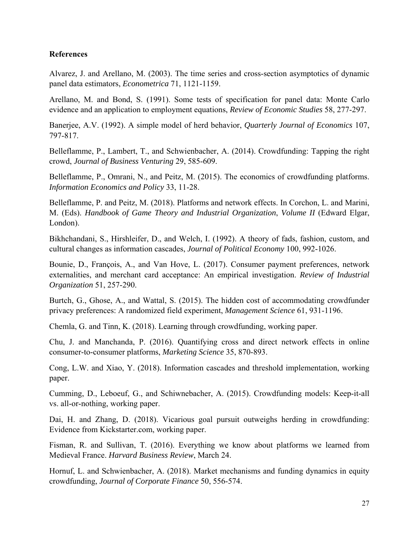# **References**

Alvarez, J. and Arellano, M. (2003). The time series and cross-section asymptotics of dynamic panel data estimators, *Econometrica* 71, 1121-1159.

Arellano, M. and Bond, S. (1991). Some tests of specification for panel data: Monte Carlo evidence and an application to employment equations, *Review of Economic Studies* 58, 277-297.

Banerjee, A.V. (1992). A simple model of herd behavior, *Quarterly Journal of Economics* 107, 797-817.

Belleflamme, P., Lambert, T., and Schwienbacher, A. (2014). Crowdfunding: Tapping the right crowd, *Journal of Business Venturing* 29, 585-609.

Belleflamme, P., Omrani, N., and Peitz, M. (2015). The economics of crowdfunding platforms. *Information Economics and Policy* 33, 11-28.

Belleflamme, P. and Peitz, M. (2018). Platforms and network effects. In Corchon, L. and Marini, M. (Eds). *Handbook of Game Theory and Industrial Organization*, *Volume II* (Edward Elgar, London).

Bikhchandani, S., Hirshleifer, D., and Welch, I. (1992). A theory of fads, fashion, custom, and cultural changes as information cascades, *Journal of Political Economy* 100, 992-1026.

Bounie, D., François, A., and Van Hove, L. (2017). Consumer payment preferences, network externalities, and merchant card acceptance: An empirical investigation. *Review of Industrial Organization* 51, 257-290.

Burtch, G., Ghose, A., and Wattal, S. (2015). The hidden cost of accommodating crowdfunder privacy preferences: A randomized field experiment, *Management Science* 61, 931-1196.

Chemla, G. and Tinn, K. (2018). Learning through crowdfunding, working paper.

Chu, J. and Manchanda, P. (2016). Quantifying cross and direct network effects in online consumer-to-consumer platforms, *Marketing Science* 35, 870-893.

Cong, L.W. and Xiao, Y. (2018). Information cascades and threshold implementation, working paper.

Cumming, D., Leboeuf, G., and Schiwnebacher, A. (2015). Crowdfunding models: Keep-it-all vs. all-or-nothing, working paper.

Dai, H. and Zhang, D. (2018). Vicarious goal pursuit outweighs herding in crowdfunding: Evidence from Kickstarter.com, working paper.

Fisman, R. and Sullivan, T. (2016). Everything we know about platforms we learned from Medieval France. *Harvard Business Review*, March 24.

Hornuf, L. and Schwienbacher, A. (2018). Market mechanisms and funding dynamics in equity crowdfunding, *Journal of Corporate Finance* 50, 556-574.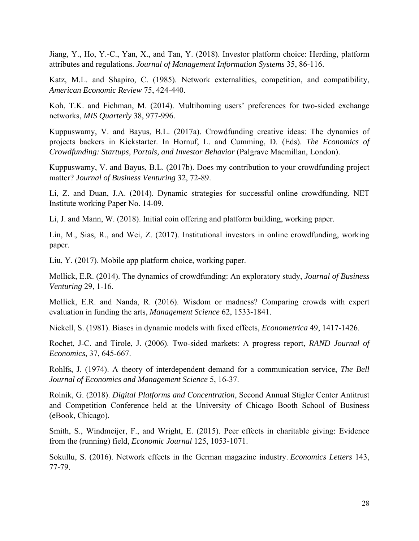Jiang, Y., Ho, Y.-C., Yan, X., and Tan, Y. (2018). Investor platform choice: Herding, platform attributes and regulations. *Journal of Management Information Systems* 35, 86-116.

Katz, M.L. and Shapiro, C. (1985). Network externalities, competition, and compatibility, *American Economic Review* 75, 424-440.

Koh, T.K. and Fichman, M. (2014). Multihoming users' preferences for two-sided exchange networks, *MIS Quarterly* 38, 977-996.

Kuppuswamy, V. and Bayus, B.L. (2017a). Crowdfunding creative ideas: The dynamics of projects backers in Kickstarter. In Hornuf, L. and Cumming, D. (Eds). *The Economics of Crowdfunding: Startups, Portals, and Investor Behavior* (Palgrave Macmillan, London).

Kuppuswamy, V. and Bayus, B.L. (2017b). Does my contribution to your crowdfunding project matter? *Journal of Business Venturing* 32, 72-89.

Li, Z. and Duan, J.A. (2014). Dynamic strategies for successful online crowdfunding. NET Institute working Paper No. 14-09.

Li, J. and Mann, W. (2018). Initial coin offering and platform building, working paper.

Lin, M., Sias, R., and Wei, Z. (2017). Institutional investors in online crowdfunding, working paper.

Liu, Y. (2017). Mobile app platform choice, working paper.

Mollick, E.R. (2014). The dynamics of crowdfunding: An exploratory study, *Journal of Business Venturing* 29, 1-16.

Mollick, E.R. and Nanda, R. (2016). Wisdom or madness? Comparing crowds with expert evaluation in funding the arts, *Management Science* 62, 1533-1841.

Nickell, S. (1981). Biases in dynamic models with fixed effects, *Econometrica* 49, 1417-1426.

Rochet, J-C. and Tirole, J. (2006). Two-sided markets: A progress report, *RAND Journal of Economics*, 37, 645-667.

Rohlfs, J. (1974). A theory of interdependent demand for a communication service, *The Bell Journal of Economics and Management Science* 5, 16-37.

Rolnik, G. (2018). *Digital Platforms and Concentration*, Second Annual Stigler Center Antitrust and Competition Conference held at the University of Chicago Booth School of Business (eBook, Chicago).

Smith, S., Windmeijer, F., and Wright, E. (2015). Peer effects in charitable giving: Evidence from the (running) field, *Economic Journal* 125, 1053-1071.

Sokullu, S. (2016). Network effects in the German magazine industry. *Economics Letters* 143, 77-79.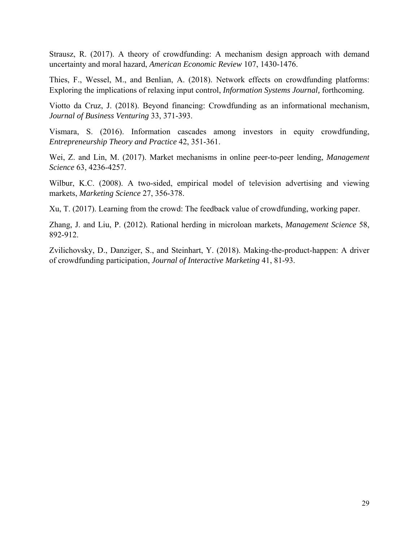Strausz, R. (2017). A theory of crowdfunding: A mechanism design approach with demand uncertainty and moral hazard, *American Economic Review* 107, 1430-1476.

Thies, F., Wessel, M., and Benlian, A. (2018). Network effects on crowdfunding platforms: Exploring the implications of relaxing input control, *Information Systems Journal,* forthcoming.

Viotto da Cruz, J. (2018). Beyond financing: Crowdfunding as an informational mechanism, *Journal of Business Venturing* 33, 371-393.

Vismara, S. (2016). Information cascades among investors in equity crowdfunding, *Entrepreneurship Theory and Practice* 42, 351-361.

Wei, Z. and Lin, M. (2017). Market mechanisms in online peer-to-peer lending, *Management Science* 63, 4236-4257.

Wilbur, K.C. (2008). A two-sided, empirical model of television advertising and viewing markets, *Marketing Science* 27, 356-378.

Xu, T. (2017). Learning from the crowd: The feedback value of crowdfunding, working paper.

Zhang, J. and Liu, P. (2012). Rational herding in microloan markets, *Management Science* 58, 892-912.

Zvilichovsky, D., Danziger, S., and Steinhart, Y. (2018). Making-the-product-happen: A driver of crowdfunding participation, *Journal of Interactive Marketing* 41, 81-93.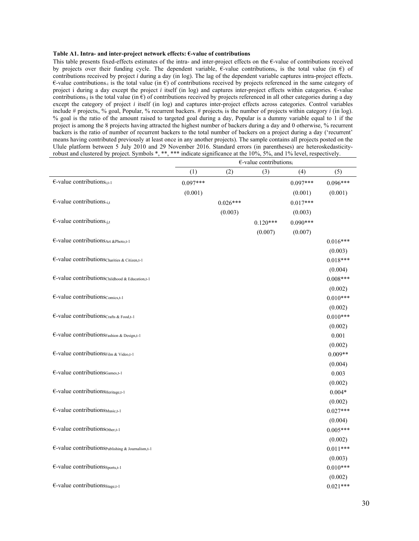#### **Table A1. Intra- and inter-project network effects: €-value of contributions**

This table presents fixed-effects estimates of the intra- and inter-project effects on the €-value of contributions received by projects over their funding cycle. The dependent variable,  $\epsilon$ -value contributions, is the total value (in  $\epsilon$ ) of contributions received by project *i* during a day (in log). The lag of the dependent variable captures intra-project effects.  $\epsilon$ -value contributions-i is the total value (in  $\epsilon$ ) of contributions received by projects referenced in the same category of project i during a day except the project *i* itself (in log) and captures inter-project effects within categories.  $\vec{E}$ -value contributions-j is the total value (in  $\epsilon$ ) of contributions received by projects referenced in all other categories during a day except the category of project *i* itself (in log) and captures inter-project effects across categories. Control variables include # projectsi, % goal, Popular, % recurrent backers. # projectsi is the number of projects within category *i* (in log). % goal is the ratio of the amount raised to targeted goal during a day, Popular is a dummy variable equal to 1 if the project is among the 8 projects having attracted the highest number of backers during a day and 0 otherwise, % recurrent backers is the ratio of number of recurrent backers to the total number of backers on a project during a day ('recurrent' means having contributed previously at least once in any another projects). The sample contains all projects posted on the Ulule platform between 5 July 2010 and 29 November 2016. Standard errors (in parentheses) are heteroskedasticityrobust and clustered by project. Symbols \*, \*\*, \*\*\* indicate significance at the 10%, 5%, and 1% level, respectively.

|                                                             |            |            | $\epsilon$ -value contributions, |            |            |
|-------------------------------------------------------------|------------|------------|----------------------------------|------------|------------|
|                                                             | (1)        | (2)        | (3)                              | (4)        | (5)        |
| $\epsilon$ -value contributions <sub>i,t-1</sub>            | $0.097***$ |            |                                  | $0.097***$ | $0.096***$ |
|                                                             | (0.001)    |            |                                  | (0.001)    | (0.001)    |
| $\epsilon$ -value contributions.                            |            | $0.026***$ |                                  | $0.017***$ |            |
|                                                             |            | (0.003)    |                                  | (0.003)    |            |
| $\epsilon$ -value contributions-j,t                         |            |            | $0.120***$                       | $0.090***$ |            |
|                                                             |            |            | (0.007)                          | (0.007)    |            |
| $\epsilon$ -value contributions Art & Photo,t-1             |            |            |                                  |            | $0.016***$ |
|                                                             |            |            |                                  |            | (0.003)    |
| $\epsilon$ -value contributions Charities & Citizen,t-1     |            |            |                                  |            | $0.018***$ |
|                                                             |            |            |                                  |            | (0.004)    |
| $\epsilon$ -value contributions Childhood & Education,t-1   |            |            |                                  |            | $0.008***$ |
|                                                             |            |            |                                  |            | (0.002)    |
| $\epsilon$ -value contributions $_{\text{Comics.t-1}}$      |            |            |                                  |            | $0.010***$ |
|                                                             |            |            |                                  |            | (0.002)    |
| $\epsilon$ -value contributions Crafts & Food.t-1           |            |            |                                  |            | $0.010***$ |
|                                                             |            |            |                                  |            | (0.002)    |
| $\epsilon$ -value contributions Fashion & Design,t-1        |            |            |                                  |            | 0.001      |
|                                                             |            |            |                                  |            | (0.002)    |
| $\epsilon$ -value contributions Film & Video,t-1            |            |            |                                  |            | $0.009**$  |
|                                                             |            |            |                                  |            | (0.004)    |
| $\epsilon$ -value contributions Games,t-1                   |            |            |                                  |            | 0.003      |
|                                                             |            |            |                                  |            | (0.002)    |
| $\epsilon$ -value contributions $H$ eritage,t-1             |            |            |                                  |            | $0.004*$   |
|                                                             |            |            |                                  |            | (0.002)    |
| $\epsilon$ -value contributions Music.t-1                   |            |            |                                  |            | $0.027***$ |
|                                                             |            |            |                                  |            | (0.004)    |
| $\epsilon$ -value contributions <sub>Other,t-1</sub>        |            |            |                                  |            | $0.005***$ |
|                                                             |            |            |                                  |            | (0.002)    |
| $\epsilon$ -value contributions Publishing & Journalism,t-1 |            |            |                                  |            | $0.011***$ |
|                                                             |            |            |                                  |            | (0.003)    |
| $\epsilon$ -value contributions sports,t-1                  |            |            |                                  |            | $0.010***$ |
|                                                             |            |            |                                  |            | (0.002)    |
| $\epsilon$ -value contributions stage,t-1                   |            |            |                                  |            | $0.021***$ |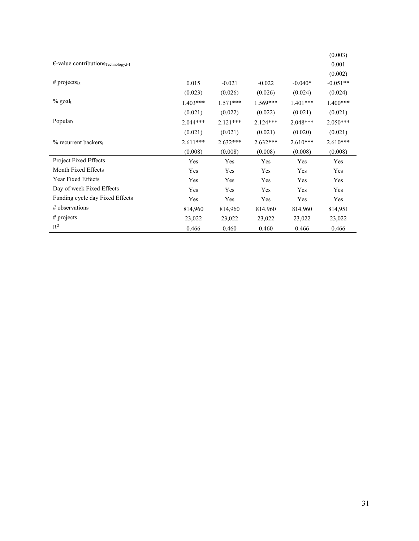|                                                |            |            |            |            | (0.003)    |
|------------------------------------------------|------------|------------|------------|------------|------------|
| $\epsilon$ -value contributions Technology,t-1 |            |            |            |            | 0.001      |
|                                                |            |            |            |            | (0.002)    |
| # projects <sub>i,t</sub>                      | 0.015      | $-0.021$   | $-0.022$   | $-0.040*$  | $-0.051**$ |
|                                                | (0.023)    | (0.026)    | (0.026)    | (0.024)    | (0.024)    |
| $%$ goal <sub>t</sub>                          | $1.403***$ | $1.571***$ | $1.569***$ | $1.401***$ | $1.400***$ |
|                                                | (0.021)    | (0.022)    | (0.022)    | (0.021)    | (0.021)    |
| Popular $t$                                    | $2.044***$ | $2.121***$ | $2.124***$ | $2.048***$ | $2.050***$ |
|                                                | (0.021)    | (0.021)    | (0.021)    | (0.020)    | (0.021)    |
| % recurrent backers                            | $2.611***$ | $2.632***$ | $2.632***$ | $2.610***$ | $2.610***$ |
|                                                | (0.008)    | (0.008)    | (0.008)    | (0.008)    | (0.008)    |
| Project Fixed Effects                          | Yes        | Yes        | Yes        | Yes        | Yes        |
| Month Fixed Effects                            | Yes        | Yes        | Yes        | Yes        | Yes        |
| Year Fixed Effects                             | Yes        | Yes        | Yes        | Yes        | Yes        |
| Day of week Fixed Effects                      | Yes        | Yes        | Yes        | Yes        | Yes        |
| Funding cycle day Fixed Effects                | Yes        | Yes        | Yes        | Yes        | Yes        |
| # observations                                 | 814,960    | 814,960    | 814,960    | 814,960    | 814,951    |
| # projects                                     | 23,022     | 23,022     | 23,022     | 23,022     | 23,022     |
| $R^2$                                          | 0.466      | 0.460      | 0.460      | 0.466      | 0.466      |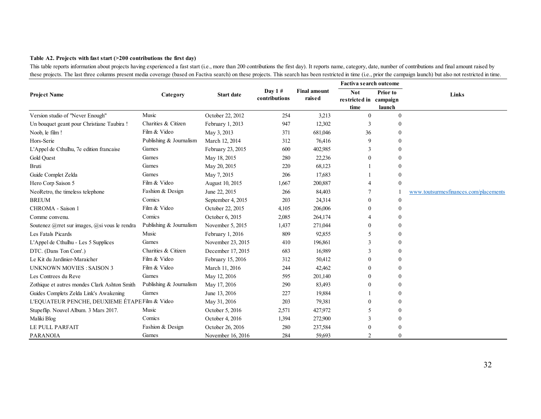### **Table A2. Projects with fast start (>200 contributions the first day)**

This table reports information about projects having experienced a fast start (i.e., more than 200 contributions the first day). It reports name, category, date, number of contributions and final amount raised by these projects. The last three columns present media coverage (based on Factiva search) on these projects. This search has been restricted in time (i.e., prior the campaign launch) but also not restricted in time.

|                                                     |                         |                   |                           |                               | Factiva search outcome              |                                |                                       |
|-----------------------------------------------------|-------------------------|-------------------|---------------------------|-------------------------------|-------------------------------------|--------------------------------|---------------------------------------|
| <b>Project Name</b>                                 | Category                | <b>Start date</b> | Day $1#$<br>contributions | <b>Final amount</b><br>raised | <b>Not</b><br>restricted in<br>time | Prior to<br>campaign<br>launch | Links                                 |
| Version studio of "Never Enough"                    | Music                   | October 22, 2012  | 254                       | 3,213                         | $\theta$                            | $\mathbf{0}$                   |                                       |
| Un bouquet geant pour Christiane Taubira !          | Charities & Citizen     | February 1, 2013  | 947                       | 12,302                        | 3                                   | $\Omega$                       |                                       |
| Noob, le film!                                      | Film & Video            | May 3, 2013       | 371                       | 681,046                       | 36                                  | $\theta$                       |                                       |
| Hors-Serie                                          | Publishing & Journalism | March 12, 2014    | 312                       | 76,416                        | 9                                   | $\mathbf{0}$                   |                                       |
| L'Appel de Cthulhu, 7e edition francaise            | Games                   | February 23, 2015 | 600                       | 402,985                       | 3                                   | $\theta$                       |                                       |
| Gold Quest                                          | Games                   | May 18, 2015      | 280                       | 22,236                        | $\theta$                            | $\theta$                       |                                       |
| Bruti                                               | Games                   | May 20, 2015      | 220                       | 68,123                        |                                     | $\theta$                       |                                       |
| Guide Complet Zelda                                 | Games                   | May 7, 2015       | 206                       | 17,683                        |                                     | $\theta$                       |                                       |
| Hero Corp Saison 5                                  | Film & Video            | August 10, 2015   | 1,667                     | 200,887                       |                                     | $\Omega$                       |                                       |
| NeoRetro, the timeless telephone                    | Fashion & Design        | June 22, 2015     | 266                       | 84,403                        |                                     |                                | www.toutsurmesfinances.com/placements |
| <b>BREUM</b>                                        | Comics                  | September 4, 2015 | 203                       | 24,314                        | $\mathbf{0}$                        | $\theta$                       |                                       |
| CHROMA - Saison 1                                   | Film & Video            | October 22, 2015  | 4,105                     | 206,006                       | $\mathbf{0}$                        | $\theta$                       |                                       |
| Comme convenu.                                      | Comics                  | October 6, 2015   | 2,085                     | 264,174                       |                                     | $\theta$                       |                                       |
| Soutenez $@$ rret sur images, $@$ si vous le rendra | Publishing & Journalism | November 5, 2015  | 1,437                     | 271,044                       | $\theta$                            | $\theta$                       |                                       |
| Les Fatals Picards                                  | Music                   | February 1, 2016  | 809                       | 92,855                        | 5                                   | $\Omega$                       |                                       |
| L'Appel de Cthulhu - Les 5 Supplices                | Games                   | November 23, 2015 | 410                       | 196,861                       | 3                                   | $\theta$                       |                                       |
| DTC. (Dans Ton Com'.)                               | Charities & Citizen     | December 17, 2015 | 683                       | 16,989                        | 3                                   | $\mathbf{0}$                   |                                       |
| Le Kit du Jardinier-Maraicher                       | Film & Video            | February 15, 2016 | 312                       | 50,412                        | $\Omega$                            | $\theta$                       |                                       |
| <b>UNKNOWN MOVIES: SAISON 3</b>                     | Film & Video            | March 11, 2016    | 244                       | 42,462                        | $\theta$                            | $\theta$                       |                                       |
| Les Contrees du Reve                                | Games                   | May 12, 2016      | 595                       | 201,140                       | $\theta$                            | $\Omega$                       |                                       |
| Zothique et autres mondes Clark Ashton Smith        | Publishing & Journalism | May 17, 2016      | 290                       | 83,493                        | $\theta$                            | $\bf{0}$                       |                                       |
| Guides Complets Zelda Link's Awakening              | Games                   | June 13, 2016     | 227                       | 19,884                        |                                     | $\theta$                       |                                       |
| L'EQUATEUR PENCHE, DEUXIEME ÉTAPE Film & Video      |                         | May 31, 2016      | 203                       | 79,381                        | $\theta$                            | $\theta$                       |                                       |
| Stupeflip. Nouvel Album. 3 Mars 2017.               | Music                   | October 5, 2016   | 2,571                     | 427,972                       | 5                                   | $\theta$                       |                                       |
| Maliki Blog                                         | Comics                  | October 4, 2016   | 1,394                     | 272,900                       | 3                                   | $\theta$                       |                                       |
| LE PULL PARFAIT                                     | Fashion & Design        | October 26, 2016  | 280                       | 237,584                       | $\mathbf{0}$                        | $\boldsymbol{0}$               |                                       |
| <b>PARANOIA</b>                                     | Games                   | November 16, 2016 | 284                       | 59,693                        | $\mathcal{D}$                       | $\mathbf{0}$                   |                                       |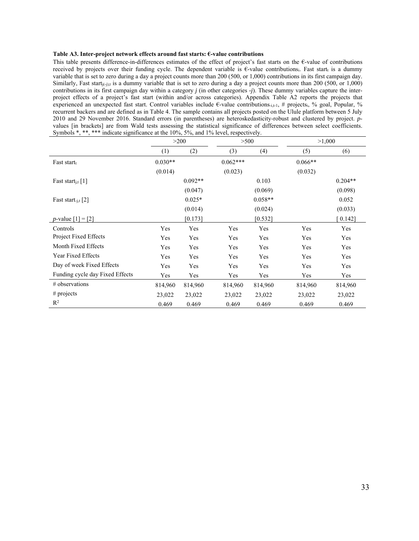#### **Table A3. Inter-project network effects around fast starts: €-value contributions**

This table presents difference-in-differences estimates of the effect of project's fast starts on the  $\epsilon$ -value of contributions received by projects over their funding cycle. The dependent variable is €-value contributionsi. Fast startt is a dummy variable that is set to zero during a day a project counts more than 200 (500, or 1,000) contributions in its first campaign day. Similarly, Fast start<sub>i(-j),t</sub> is a dummy variable that is set to zero during a day a project counts more than 200 (500, or 1,000) contributions in its first campaign day within a category *j* (in other categories *-j*). These dummy variables capture the interproject effects of a project's fast start (within and/or across categories). Appendix Table A2 reports the projects that experienced an unexpected fast start. Control variables include €-value contributions-i,t-1, # projectsi, % goal, Popular, % recurrent backers and are defined as in Table 4. The sample contains all projects posted on the Ulule platform between 5 July 2010 and 29 November 2016. Standard errors (in parentheses) are heteroskedasticity-robust and clustered by project. *p*values [in brackets] are from Wald tests assessing the statistical significance of differences between select coefficients. Symbols \*, \*\*, \*\*\* indicate significance at the 10%, 5%, and 1% level, respectively.

|                                 | >200      |           | >500       |           | >1,000    |           |  |
|---------------------------------|-----------|-----------|------------|-----------|-----------|-----------|--|
|                                 | (1)       | (2)       | (3)        | (4)       | (5)       | (6)       |  |
| Fast start                      | $0.030**$ |           | $0.062***$ |           | $0.066**$ |           |  |
|                                 | (0.014)   |           | (0.023)    |           | (0.032)   |           |  |
| Fast start <sub>i,t</sub> [1]   |           | $0.092**$ |            | 0.103     |           | $0.204**$ |  |
|                                 |           | (0.047)   |            | (0.069)   |           | (0.098)   |  |
| Fast start- $_{i,t}$ [2]        |           | $0.025*$  |            | $0.058**$ |           | 0.052     |  |
|                                 |           | (0.014)   |            | (0.024)   |           | (0.033)   |  |
| <i>p</i> -value $[1] = [2]$     |           | [0.173]   |            | [0.532]   |           | $0.142$ ] |  |
| Controls                        | Yes       | Yes       | Yes        | Yes       | Yes       | Yes       |  |
| Project Fixed Effects           | Yes       | Yes       | Yes        | Yes       | Yes       | Yes       |  |
| Month Fixed Effects             | Yes       | Yes       | Yes        | Yes       | Yes       | Yes       |  |
| Year Fixed Effects              | Yes       | Yes       | Yes        | Yes       | Yes       | Yes       |  |
| Day of week Fixed Effects       | Yes       | Yes       | Yes        | Yes       | Yes       | Yes       |  |
| Funding cycle day Fixed Effects | Yes       | Yes       | Yes        | Yes       | Yes       | Yes       |  |
| # observations                  | 814,960   | 814,960   | 814,960    | 814,960   | 814,960   | 814,960   |  |
| $#$ projects                    | 23,022    | 23,022    | 23,022     | 23,022    | 23,022    | 23,022    |  |
| $R^2$                           | 0.469     | 0.469     | 0.469      | 0.469     | 0.469     | 0.469     |  |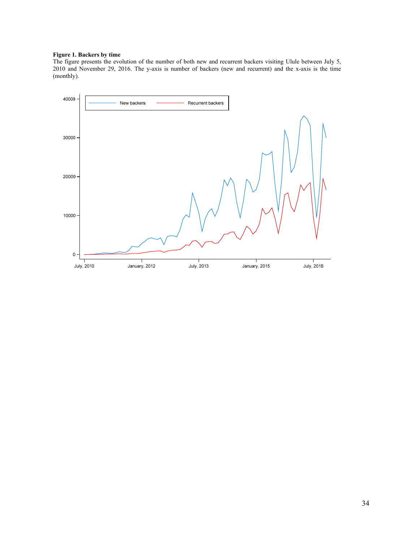### **Figure 1. Backers by time**

The figure presents the evolution of the number of both new and recurrent backers visiting Ulule between July 5, 2010 and November 29, 2016. The y-axis is number of backers (new and recurrent) and the x-axis is the time (monthly).

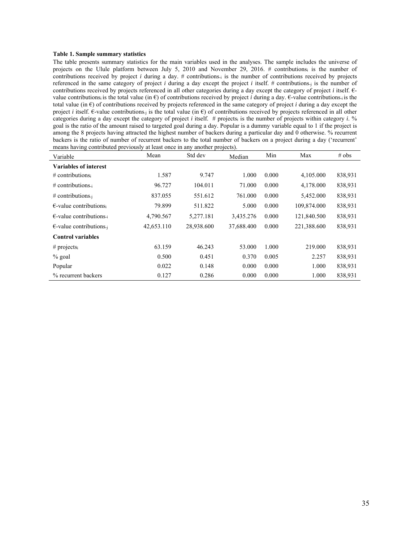#### **Table 1. Sample summary statistics**

The table presents summary statistics for the main variables used in the analyses. The sample includes the universe of projects on the Ulule platform between July 5, 2010 and November 29, 2016. # contributionsi is the number of contributions received by project *i* during a day. # contributions-i is the number of contributions received by projects referenced in the same category of project *i* during a day except the project *i* itself. # contributions. is the number of contributions received by projects referenced in all other categories during a day except the category of project *i* itself. € value contributions<sub>i</sub> is the total value (in  $\epsilon$ ) of contributions received by project *i* during a day.  $\epsilon$ -value contributions<sub>i</sub> is the total value (in  $\epsilon$ ) of contributions received by projects referenced in the same category of project *i* during a day except the project *i* itself.  $\epsilon$ -value contributions<sub>i</sub> is the total value (in  $\epsilon$ ) of contributions received by projects referenced in all other categories during a day except the category of project *i* itself. # projectsi is the number of projects within category *i*. % goal is the ratio of the amount raised to targeted goal during a day. Popular is a dummy variable equal to 1 if the project is among the 8 projects having attracted the highest number of backers during a particular day and 0 otherwise. % recurrent backers is the ratio of number of recurrent backers to the total number of backers on a project during a day ('recurrent' means having contributed previously at least once in any another projects).

| Variable                         | Mean       | Std dev    | Median     | Min   | Max         | # obs   |
|----------------------------------|------------|------------|------------|-------|-------------|---------|
| <b>Variables of interest</b>     |            |            |            |       |             |         |
| $\#$ contributions.              | 1.587      | 9.747      | 1.000      | 0.000 | 4,105.000   | 838,931 |
| $\#$ contributions-i             | 96.727     | 104.011    | 71.000     | 0.000 | 4,178.000   | 838,931 |
| $\#$ contributions.              | 837.055    | 551.612    | 761.000    | 0.000 | 5,452.000   | 838,931 |
| $\epsilon$ -value contributions  | 79.899     | 511.822    | 5.000      | 0.000 | 109,874.000 | 838,931 |
| $\epsilon$ -value contributions- | 4,790.567  | 5,277.181  | 3,435.276  | 0.000 | 121,840.500 | 838,931 |
| $\epsilon$ -value contributions. | 42,653.110 | 28,938.600 | 37,688.400 | 0.000 | 221,388.600 | 838,931 |
| <b>Control variables</b>         |            |            |            |       |             |         |
| $#$ projects <sub>i</sub>        | 63.159     | 46.243     | 53.000     | 1.000 | 219.000     | 838,931 |
| $%$ goal                         | 0.500      | 0.451      | 0.370      | 0.005 | 2.257       | 838,931 |
| Popular                          | 0.022      | 0.148      | 0.000      | 0.000 | 1.000       | 838,931 |
| % recurrent backers              | 0.127      | 0.286      | 0.000      | 0.000 | 1.000       | 838,931 |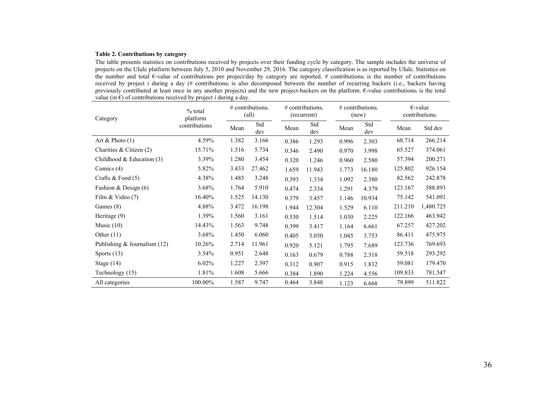#### **Table 2. Contributions by category**

The table presents statistics on contributions received by projects over their funding cycle by category. The sample includes the universe of projects on the Ulule platform between July 5, 2010 and November 29, 2016. The category classification is as reported by Ulule. Statistics on the number and total  $\epsilon$ -value of contributions per project/day by category are reported. # contributionsi is the number of contributions received by project *i* during a day (# contributions<sub>i</sub> is also decomposed between the number of recurring backers (i.e., backers having previously contributed at least once in any another projects) and the new project-backers on the platform. €-value contributionsi is the total value (in  $\epsilon$ ) of contributions received by project *i* during a day.

| Category                       | $%$ total<br>platform |       | $#$ contributions <sub>i</sub><br>$\text{(all)}$ |       | $#$ contributions<br>(recurrent) |       | $#$ contributions;<br>(new) |         | $\epsilon$ -value<br>contributionsi |
|--------------------------------|-----------------------|-------|--------------------------------------------------|-------|----------------------------------|-------|-----------------------------|---------|-------------------------------------|
|                                | contributions         | Mean  | Std<br>dev                                       | Mean  | Std<br>dev                       | Mean  | Std<br>dev                  | Mean    | Std dev                             |
| Art & Photo $(1)$              | 4.59%                 | 1.382 | 3.166                                            | 0.386 | 1.293                            | 0.996 | 2.303                       | 68.714  | 266.214                             |
| Charities & Citizen $(2)$      | 15.71%                | 1.316 | 5.734                                            | 0.346 | 2.490                            | 0.970 | 3.998                       | 65.527  | 374.061                             |
| Childhood & Education $(3)$    | 3.39%                 | 1.280 | 3.454                                            | 0.320 | 1.246                            | 0.960 | 2.580                       | 57.394  | 200.271                             |
| Comics $(4)$                   | 5.82%                 | 3.433 | 27.462                                           | 1.659 | 11.943                           | 1.773 | 16.180                      | 125.802 | 926.154                             |
| Crafts $&$ Food $(5)$          | 4.38%                 | 1.485 | 3.248                                            | 0.393 | 1.334                            | 1.092 | 2.380                       | 82.562  | 242.878                             |
| Fashion & Design $(6)$         | 3.68%                 | 1.764 | 5.910                                            | 0.474 | 2.334                            | 1.291 | 4.379                       | 123.167 | 588.893                             |
| Film & Video (7)               | 16.40%                | 1.525 | 14.130                                           | 0.379 | 3.457                            | 1.146 | 10.934                      | 75.142  | 541.091                             |
| Games $(8)$                    | 4.88%                 | 3.472 | 16.198                                           | 1.944 | 12.304                           | 1.529 | 6.110                       | 211.210 | 1,480.725                           |
| Heritage (9)                   | 1.39%                 | 1.560 | 3.161                                            | 0.530 | 1.514                            | 1.030 | 2.225                       | 122.166 | 463.942                             |
| Music $(10)$                   | 14.43%                | 1.563 | 9.748                                            | 0.399 | 3.417                            | 1.164 | 6.661                       | 67.257  | 427.202                             |
| Other $(11)$                   | 3.68%                 | 1.450 | 6.060                                            | 0.405 | 3.050                            | 1.045 | 3.753                       | 86.411  | 475.975                             |
| Publishing $&$ Journalism (12) | 10.26%                | 2.714 | 11.961                                           | 0.920 | 5.121                            | 1.795 | 7.689                       | 123.736 | 769.693                             |
| Sports $(13)$                  | 3.54%                 | 0.951 | 2.648                                            | 0.163 | 0.679                            | 0.788 | 2.318                       | 59.518  | 293.292                             |
| Stage $(14)$                   | 6.02%                 | 1.227 | 2.397                                            | 0.312 | 0.907                            | 0.915 | 1.832                       | 59.081  | 179.470                             |
| Technology (15)                | 1.81%                 | 1.608 | 5.666                                            | 0.384 | 1.890                            | 1.224 | 4.556                       | 109.833 | 781.547                             |
| All categories                 | 100.00%               | 1.587 | 9.747                                            | 0.464 | 3.848                            | 1.123 | 6.668                       | 79.899  | 511.822                             |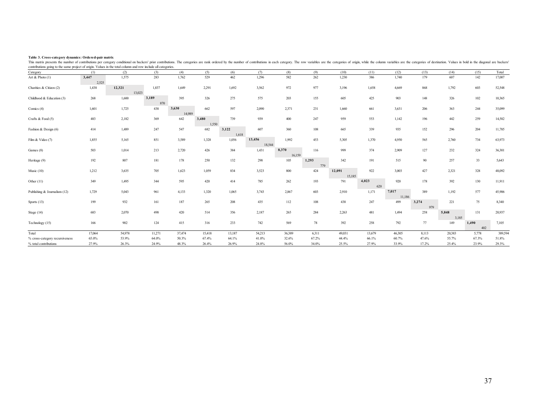#### **Table 3. Cross-category dynamics: Ordered-pair matrix**

This matrix presents the number of contributions per category conditional on backers' prior contributions. The categories are rank ordered by the number of contributions in each category. The row variables are the categori

| Category                       | (1)            | (2)    | (3)             | (4)             | (5)            | (6)            | (7)              | (8)             | (9)          | (10)             | (11)         | (12)            | (13)         | (14)           | (15)         | Total   |
|--------------------------------|----------------|--------|-----------------|-----------------|----------------|----------------|------------------|-----------------|--------------|------------------|--------------|-----------------|--------------|----------------|--------------|---------|
| Art & Photo (1)                | 3,447          | 1,575  | 283             | 1,762           | 529            | 462            | 1,296            | 582             | 262          | 1,230            | 386          | 1,740           | 179          | 607            | 142          | 17,007  |
| Charities & Citizen (2)        | 2,525<br>1,438 | 12,321 | 1,837<br>13,023 | 1,649           | 2,291          | 1,692          | 3,562            | 972             | 977          | 3,196            | 1,658        | 4,669           | 868          | 1,792          | 603          | 52,548  |
| Childhood & Education (3)      | 268            | 1,600  | 3,189<br>870    | 395             | 326            | 275            | 575              | 203             | 155          | 605              | 425          | 903             | 148          | 326            | 102          | 10,365  |
| Comics $(4)$                   | 1,601          | 1,725  | 438             | 3,630<br>14,989 | 662            | 597            | 2,090            | 2,371           | 231          | 1,660            | 661          | 3,631           | 206          | 363            | 244          | 35,099  |
| Crafts & Food (5)              | 483            | 2,182  | 369             | 642             | 3,480<br>1,550 | 739            | 939              | 400             | 247          | 959              | 553          | 1,142           | 196          | 442            | 259          | 14,582  |
| Fashion & Design (6)           | 414            | 1,489  | 247             | 547             | 682            | 3,122<br>1,618 | 607              | 360             | 108          | 665              | 339          | 935             | 152          | 296            | 204          | 11,785  |
| Film & Video (7)               | 1,855          | 5,165  | 851             | 3,589           | 1,328          | 1,056          | 13,456<br>18,544 | 1.992           | 453          | 5,305            | 1,370        | 4,950           | 565          | 2,760          | 734          | 63,973  |
| Games (8)                      | 503            | 1,014  | 213             | 2,720           | 426            | 384            | 1,431            | 8,370<br>16,159 | 116          | 999              | 374          | 2,909           | 127          | 232            | 324          | 36,301  |
| Heritage (9)                   | 192            | 807    | 181             | 178             | 250            | 132            | 298              | 105             | 1,293<br>779 | 342              | 191          | 515             | 90           | 257            | 33           | 5,643   |
| Music $(10)$                   | 1,212          | 3,635  | 705             | 1,623           | 1,059          | 834            | 3,523            | 800             | 424          | 12,091<br>15,185 | 922          | 3,003           | 427          | 2,321          | 328          | 48,092  |
| Other $(11)$                   | 349            | 1,495  | 344             | 595             | 420            | 414            | 785              | 262             | 193          | 791              | 4,023<br>620 | 920             | 178          | 392            | 130          | 11,911  |
| Publishing & Journalism (12)   | 1,729          | 5,043  | 961             | 4,133           | 1,320          | 1,065          | 3,743            | 2,867           | 603          | 2,910            | 1,171        | 7,017<br>11,186 | 389          | 1,192          | 577          | 45,906  |
| Sports $(13)$                  | 199            | 932    | 161             | 187             | 265            | 208            | 435              | 112             | 108          | 438              | 247          | 499             | 3,274<br>979 | 221            | 75           | 8,340   |
| Stage (14)                     | 683            | 2,070  | 498             | 420             | 514            | 356            | 2,187            | 265             | 284          | 2,263            | 481          | 1,494           | 258          | 5,848<br>3,185 | 131          | 20,937  |
| Technology (15)                | 166            | 902    | 124             | 415             | 316            | 233            | 742              | 569             | 78           | 392              | 258          | 792             | 77           | 149            | 1,490<br>402 | 7,105   |
| Total                          | 17,064         | 54,978 | 11,271          | 37,474          | 15,418         | 13,187         | 54,213           | 36,389          | 6,311        | 49,031           | 13,679       | 46,305          | 8,113        | 20,383         | 5,778        | 389,594 |
| % cross-category recursiveness | 65.0%          | 53.9%  | 64.0%           | 50.3%           | 67.4%          | 64.1%          | 41.0%            | 32.6%           | 67.2%        | 44.4%            | 66.1%        | 60.7%           | 47.6%        | 55.7%          | 67.3%        | 51.8%   |
| % total contributions          | 27.9%          | 26.3%  | 24.9%           | 48.3%           | 26.4%          | 26.9%          | 24.8%            | 56.0%           | 34.0%        | 25.5%            | 27.9%        | 33.9%           | 17.2%        | 25.4%          | 23.9%        | 29.3%   |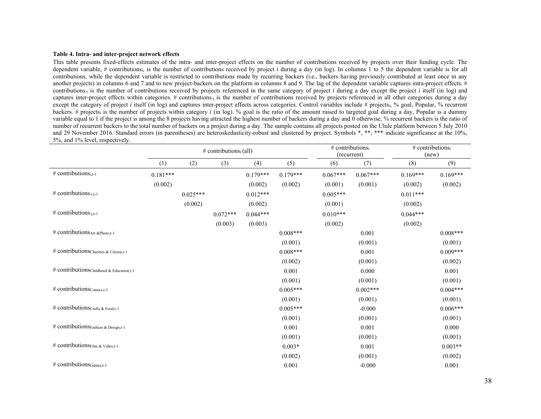#### **Table 4. Intra- and inter-project network effects**

This table presents fixed-effects estimates of the intra- and inter-project effects on the number of contributions received by projects over their funding cycle. The dependent variable, # contributionsi, is the number of contributions received by project *i* during a day (in log). In columns 1 to 5 the dependent variable is for all contributions, while the dependent variable is restricted to contributions made by recurring backers (i.e., backers having previously contributed at least once in any another projects) in columns 6 and 7 and to new project-backers on the platform in columns 8 and 9. The lag of the dependent variable captures intra-project effects. # contributions-i is the number of contributions received by projects referenced in the same category of project *i* during a day except the project *i* itself (in log) and captures inter-project effects within categories. # contributions-j is the number of contributions received by projects referenced in all other categories during a day except the category of project *i* itself (in log) and captures inter-project effects across categories. Control variables include # projects;, % goal, Popular, % recurrent backers. # projects<sub>i</sub> is the number of projects within category *i* (in log). % goal is the ratio of the amount raised to targeted goal during a day, Popular is a dummy variable equal to 1 if the project is among the 8 projects having attracted the highest number of backers during a day and 0 otherwise, % recurrent backers is the ratio of number of recurrent backers to the total number of backers on a project during a day. The sample contains all projects posted on the Ulule platform between 5 July 2010 and 29 November 2016. Standard errors (in parentheses) are heteroskedasticity-robust and clustered by project. Symbols \*, \*\*, \*\*\* indicate significance at the 10%, 5%, and 1% level, respectively.

|                                           |            |            | # contributions <sub>i</sub> (all) |            | # contributions;<br>(recurrent) |            | $#$ contributions <sub>i</sub><br>(new) |            |            |
|-------------------------------------------|------------|------------|------------------------------------|------------|---------------------------------|------------|-----------------------------------------|------------|------------|
|                                           | (1)        | (2)        | (3)                                | (4)        | (5)                             | (6)        | (7)                                     | (8)        | (9)        |
| # contributions <sub>i.t-1</sub>          | $0.181***$ |            |                                    | $0.179***$ | $0.179***$                      | $0.067***$ | $0.067***$                              | $0.169***$ | $0.169***$ |
|                                           | (0.002)    |            |                                    | (0.002)    | (0.002)                         | (0.001)    | (0.001)                                 | (0.002)    | (0.002)    |
| # contributions- $i.t-1$                  |            | $0.025***$ |                                    | $0.012***$ |                                 | $0.005***$ |                                         | $0.011***$ |            |
|                                           |            | (0.002)    |                                    | (0.002)    |                                 | (0.001)    |                                         | (0.002)    |            |
| # contributions- $i,t-1$                  |            |            | $0.072***$                         | $0.044***$ |                                 | $0.010***$ |                                         | $0.044***$ |            |
|                                           |            |            | (0.003)                            | (0.003)    |                                 | (0.002)    |                                         | (0.002)    |            |
| # contributionsArt &Photo,t-1             |            |            |                                    |            | $0.008***$                      |            | 0.001                                   |            | $0.008***$ |
|                                           |            |            |                                    |            | (0.001)                         |            | (0.001)                                 |            | (0.001)    |
| # contributions Charities & Citizen,t-1   |            |            |                                    |            | $0.008***$                      |            | 0.001                                   |            | $0.009***$ |
|                                           |            |            |                                    |            | (0.002)                         |            | (0.001)                                 |            | (0.002)    |
| # contributions Childhood & Education,t-1 |            |            |                                    |            | 0.001                           |            | 0.000                                   |            | 0.001      |
|                                           |            |            |                                    |            | (0.001)                         |            | (0.001)                                 |            | (0.001)    |
| # contributions Comics,t-1                |            |            |                                    |            | $0.005***$                      |            | $0.002***$                              |            | $0.004***$ |
|                                           |            |            |                                    |            | (0.001)                         |            | (0.001)                                 |            | (0.001)    |
| # contributionsCrafts & Food,t-1          |            |            |                                    |            | $0.005***$                      |            | $-0.000$                                |            | $0.006***$ |
|                                           |            |            |                                    |            | (0.001)                         |            | (0.001)                                 |            | (0.001)    |
| # contributionSFashion & Design,t-1       |            |            |                                    |            | 0.001                           |            | 0.001                                   |            | 0.000      |
|                                           |            |            |                                    |            | (0.001)                         |            | (0.001)                                 |            | (0.001)    |
| # contributionsFilm & Video,t-1           |            |            |                                    |            | $0.003*$                        |            | 0.001                                   |            | $0.003**$  |
|                                           |            |            |                                    |            | (0.002)                         |            | (0.001)                                 |            | (0.002)    |
| # contributionsGames,t-1                  |            |            |                                    |            | 0.001                           |            | $-0.000$                                |            | 0.001      |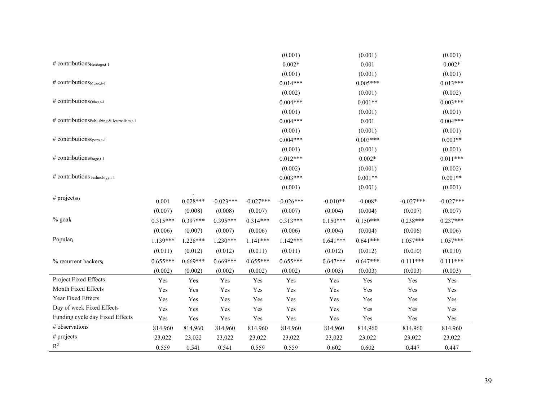|                                             |            |            |             |             | (0.001)     |            | (0.001)    |             | (0.001)     |
|---------------------------------------------|------------|------------|-------------|-------------|-------------|------------|------------|-------------|-------------|
| $\#$ contributions Heritage,t-1             |            |            |             |             | $0.002*$    |            | 0.001      |             | $0.002*$    |
|                                             |            |            |             |             | (0.001)     |            | (0.001)    |             | (0.001)     |
| # contributionSMusic,t-1                    |            |            |             |             | $0.014***$  |            | $0.005***$ |             | $0.013***$  |
|                                             |            |            |             |             | (0.002)     |            | (0.001)    |             | (0.002)     |
| # contributions <sub>Other,t-1</sub>        |            |            |             |             | $0.004***$  |            | $0.001**$  |             | $0.003***$  |
|                                             |            |            |             |             | (0.001)     |            | (0.001)    |             | (0.001)     |
| # contributions Publishing & Journalism,t-1 |            |            |             |             | $0.004***$  |            | 0.001      |             | $0.004***$  |
|                                             |            |            |             |             | (0.001)     |            | (0.001)    |             | (0.001)     |
| # contributionssports,t-1                   |            |            |             |             | $0.004***$  |            | $0.003***$ |             | $0.003**$   |
|                                             |            |            |             |             | (0.001)     |            | (0.001)    |             | (0.001)     |
| # contributionsstage,t-1                    |            |            |             |             | $0.012***$  |            | $0.002*$   |             | $0.011***$  |
|                                             |            |            |             |             | (0.002)     |            | (0.001)    |             | (0.002)     |
| # contributions Technology,t-1              |            |            |             |             | $0.003***$  |            | $0.001**$  |             | $0.001**$   |
|                                             |            |            |             |             | (0.001)     |            | (0.001)    |             | (0.001)     |
| # projects $_{i,t}$                         | 0.001      | $0.028***$ | $-0.023***$ | $-0.027***$ | $-0.026***$ | $-0.010**$ | $-0.008*$  | $-0.027***$ | $-0.027***$ |
|                                             | (0.007)    | (0.008)    | (0.008)     | (0.007)     | (0.007)     | (0.004)    | (0.004)    | (0.007)     | (0.007)     |
| $%$ goalt                                   | $0.315***$ | $0.397***$ | $0.395***$  | $0.314***$  | $0.313***$  | $0.150***$ | $0.150***$ | $0.238***$  | $0.237***$  |
|                                             | (0.006)    | (0.007)    | (0.007)     | (0.006)     | (0.006)     | (0.004)    | (0.004)    | (0.006)     | (0.006)     |
| Populart                                    | $1.139***$ | $1.228***$ | $1.230***$  | $1.141***$  | $1.142***$  | $0.641***$ | $0.641***$ | $1.057***$  | $1.057***$  |
|                                             | (0.011)    | (0.012)    | (0.012)     | (0.011)     | (0.011)     | (0.012)    | (0.012)    | (0.010)     | (0.010)     |
| % recurrent backerst                        | $0.655***$ | $0.669***$ | $0.669***$  | $0.655***$  | $0.655***$  | $0.647***$ | $0.647***$ | $0.111***$  | $0.111***$  |
|                                             | (0.002)    | (0.002)    | (0.002)     | (0.002)     | (0.002)     | (0.003)    | (0.003)    | (0.003)     | (0.003)     |
| Project Fixed Effects                       | Yes        | Yes        | Yes         | Yes         | Yes         | Yes        | Yes        | Yes         | Yes         |
| Month Fixed Effects                         | Yes        | Yes        | Yes         | Yes         | Yes         | Yes        | Yes        | Yes         | Yes         |
| Year Fixed Effects                          | Yes        | Yes        | Yes         | Yes         | Yes         | Yes        | Yes        | Yes         | Yes         |
| Day of week Fixed Effects                   | Yes        | Yes        | Yes         | Yes         | Yes         | Yes        | Yes        | Yes         | Yes         |
| Funding cycle day Fixed Effects             | Yes        | Yes        | Yes         | Yes         | Yes         | Yes        | Yes        | Yes         | Yes         |
| # observations                              | 814,960    | 814,960    | 814,960     | 814,960     | 814,960     | 814,960    | 814,960    | 814,960     | 814,960     |
| # projects                                  | 23,022     | 23,022     | 23,022      | 23,022      | 23,022      | 23,022     | 23,022     | 23,022      | 23,022      |
| $\mathbb{R}^2$                              | 0.559      | 0.541      | 0.541       | 0.559       | 0.559       | 0.602      | 0.602      | 0.447       | 0.447       |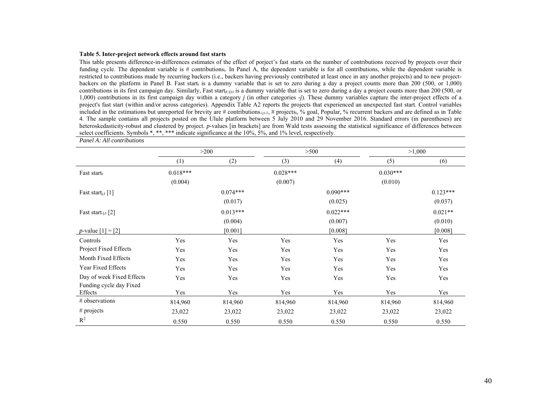#### **Table 5. Inter-project network effects around fast starts**

This table presents difference-in-differences estimates of the effect of porject's fast starts on the number of contributions received by projects over their funding cycle. The dependent variable is # contributions; In Panel A, the dependent variable is for all contributions, while the dependent variable is restricted to contributions made by recurring backers (i.e., backers having previously contributed at least once in any another projects) and to new projectbackers on the platform in Panel B. Fast start<sub>t</sub> is a dummy variable that is set to zero during a day a project counts more than 200 (500, or 1,000) contributions in its first campaign day. Similarly, Fast start<sub>iciat</sub> is a dummy variable that is set to zero during a day a project counts more than 200 (500, or 1,000) contributions in its first campaign day within a category *j* (in other categories *-j*). These dummy variables capture the inter-project effects of a project's fast start (within and/or across categories). Appendix Table A2 reports the projects that experienced an unexpected fast start. Control variables included in the estimations but unreported for brevity are # contributions.  $\mu_1$ , # projects; % goal, Popular, % recurrent backers and are defined as in Table 4. The sample contains all projects posted on the Ulule platform between 5 July 2010 and 29 November 2016. Standard errors (in parentheses) are heteroskedasticity-robust and clustered by project. *p*-values [in brackets] are from Wald tests assessing the statistical significance of differences between select coefficients. Symbols \*, \*\*, \*\*\* indicate significance at the 10%, 5%, and 1% level, respectively.

|                                    |            | >200       |            | >500       |            | >1,000     |
|------------------------------------|------------|------------|------------|------------|------------|------------|
|                                    | (1)        | (2)        | (3)        | (4)        | (5)        | (6)        |
| Fast start                         | $0.018***$ |            | $0.028***$ |            | $0.030***$ |            |
|                                    | (0.004)    |            | (0.007)    |            | (0.010)    |            |
| Fast start <sub>j,t</sub> $[1]$    |            | $0.074***$ |            | $0.090***$ |            | $0.123***$ |
|                                    |            | (0.017)    |            | (0.025)    |            | (0.037)    |
| Fast start-j,t $[2]$               |            | $0.013***$ |            | $0.022***$ |            | $0.021**$  |
|                                    |            | (0.004)    |            | (0.007)    |            | (0.010)    |
| <i>p</i> -value $[1] = [2]$        |            | [0.001]    |            | [0.008]    |            | [0.008]    |
| Controls                           | Yes        | Yes        | Yes        | Yes        | Yes        | Yes        |
| Project Fixed Effects              | Yes        | Yes        | Yes        | Yes        | Yes        | Yes        |
| Month Fixed Effects                | Yes        | Yes        | Yes        | Yes        | Yes        | Yes        |
| Year Fixed Effects                 | Yes        | Yes        | Yes        | Yes        | Yes        | Yes        |
| Day of week Fixed Effects          | Yes        | Yes        | Yes        | Yes        | Yes        | Yes        |
| Funding cycle day Fixed<br>Effects | Yes        | Yes        | Yes        | Yes        | Yes        | Yes        |
| # observations                     | 814,960    | 814,960    | 814,960    | 814,960    | 814,960    | 814,960    |
| # projects                         | 23,022     | 23,022     | 23,022     | 23,022     | 23,022     | 23,022     |
| $R^2$                              | 0.550      | 0.550      | 0.550      | 0.550      | 0.550      | 0.550      |

*Panel A: All contributions*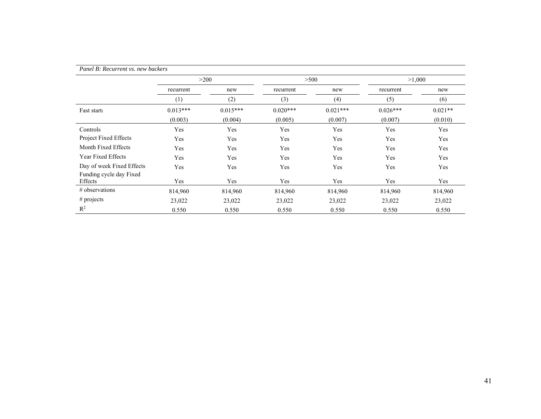| Panel B: Recurrent vs. new backers |            |            |            |            |            |           |
|------------------------------------|------------|------------|------------|------------|------------|-----------|
|                                    |            | >200       |            | >500       |            | >1,000    |
|                                    | recurrent  | new        | recurrent  | new        | recurrent  | new       |
|                                    | (1)        | (2)        | (3)        | (4)        | (5)        | (6)       |
| Fast start                         | $0.013***$ | $0.015***$ | $0.020***$ | $0.021***$ | $0.026***$ | $0.021**$ |
|                                    | (0.003)    | (0.004)    | (0.005)    | (0.007)    | (0.007)    | (0.010)   |
| Controls                           | Yes        | Yes        | Yes        | Yes        | Yes        | Yes       |
| Project Fixed Effects              | Yes        | Yes        | Yes        | Yes        | Yes        | Yes       |
| Month Fixed Effects                | Yes        | Yes        | Yes        | Yes        | Yes        | Yes       |
| Year Fixed Effects                 | Yes        | Yes        | Yes        | Yes        | Yes        | Yes       |
| Day of week Fixed Effects          | Yes        | Yes        | Yes        | Yes        | Yes        | Yes       |
| Funding cycle day Fixed<br>Effects | Yes        | Yes        | Yes        | Yes        | Yes        | Yes       |
| # observations                     | 814,960    | 814,960    | 814,960    | 814,960    | 814,960    | 814,960   |
| # projects                         | 23,022     | 23,022     | 23,022     | 23,022     | 23,022     | 23,022    |
| $\mathbb{R}^2$                     | 0.550      | 0.550      | 0.550      | 0.550      | 0.550      | 0.550     |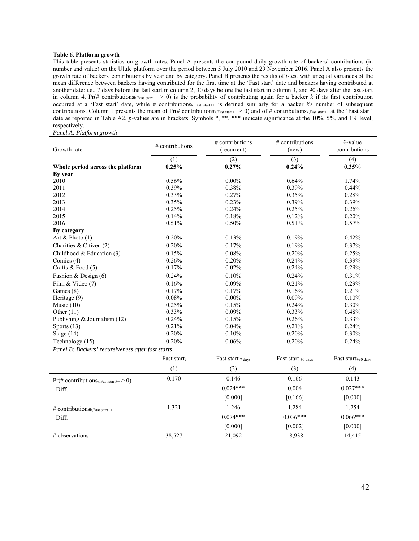#### **Table 6. Platform growth**

This table presents statistics on growth rates. Panel A presents the compound daily growth rate of backers' contributions (in number and value) on the Ulule platform over the period between 5 July 2010 and 29 November 2016. Panel A also presents the growth rate of backers' contributions by year and by category. Panel B presents the results of *t*-test with unequal variances of the mean difference between backers having contributed for the first time at the 'Fast start' date and backers having contributed at another date: i.e., 7 days before the fast start in column 2, 30 days before the fast start in column 3, and 90 days after the fast start in column 4. Pr(# contributions<sub>k,Fast start++ > 0) is the probability of contributing again for a backer k if its first contribution</sub> occurred at a 'Fast start' date, while # contributionsk,Fast start++ is defined similarly for a backer *k*'s number of subsequent contributions. Column 1 presents the mean of  $Pr(\#$  contributions<sub>k,Fast start</sub>++ > 0) and of # contributions<sub>k,Fast start</sub>++ at the 'Fast start' date as reported in Table A2. *p*-values are in brackets. Symbols \*, \*\*, \*\*\* indicate significance at the 10%, 5%, and 1% level, respectively.

*Panel A: Platform growth* 

| Growth rate                                        | # contributions | # contributions<br>(recurrent) | # contributions<br>(new)       | $\epsilon$ -value<br>contributions |
|----------------------------------------------------|-----------------|--------------------------------|--------------------------------|------------------------------------|
|                                                    | (1)             | (2)                            | (3)                            | (4)                                |
| Whole period across the platform                   | 0.25%           | 0.27%                          | 0.24%                          | 0.35%                              |
| By year                                            |                 |                                |                                |                                    |
| 2010                                               | 0.56%           | $0.00\%$                       | 0.64%                          | 1.74%                              |
| 2011                                               | 0.39%           | 0.38%                          | 0.39%                          | 0.44%                              |
| 2012                                               | 0.33%           | 0.27%                          | 0.35%                          | 0.28%                              |
| 2013                                               | 0.35%           | 0.23%                          | 0.39%                          | 0.39%                              |
| 2014                                               | 0.25%           | 0.24%                          | 0.25%                          | 0.26%                              |
| 2015                                               | 0.14%           | 0.18%                          | 0.12%                          | 0.20%                              |
| 2016                                               | 0.51%           | 0.50%                          | 0.51%                          | 0.57%                              |
| By category                                        |                 |                                |                                |                                    |
| Art & Photo $(1)$                                  | 0.20%           | 0.13%                          | 0.19%                          | 0.42%                              |
| Charities & Citizen (2)                            | 0.20%           | 0.17%                          | 0.19%                          | 0.37%                              |
| Childhood & Education (3)                          | 0.15%           | 0.08%                          | 0.20%                          | 0.25%                              |
| Comics $(4)$                                       | 0.26%           | 0.20%                          | 0.24%                          | 0.39%                              |
| Crafts & Food (5)                                  | 0.17%           | 0.02%                          | 0.24%                          | 0.29%                              |
| Fashion & Design (6)                               | 0.24%           | 0.10%                          | 0.24%                          | 0.31%                              |
| Film & Video (7)                                   | 0.16%           | 0.09%                          | 0.21%                          | 0.29%                              |
| Games $(8)$                                        | 0.17%           | 0.17%                          | 0.16%                          | 0.21%                              |
| Heritage (9)                                       | 0.08%           | $0.00\%$                       | 0.09%                          | 0.10%                              |
| Music $(10)$                                       | 0.25%           | 0.15%                          | 0.24%                          | 0.30%                              |
| Other $(11)$                                       | 0.33%           | 0.09%                          | 0.33%                          | 0.48%                              |
| Publishing & Journalism (12)                       | 0.24%           | 0.15%                          | 0.26%                          | 0.33%                              |
| Sports (13)                                        | 0.21%           | 0.04%                          | 0.21%                          | 0.24%                              |
| Stage $(14)$                                       | 0.20%           | 0.10%                          | 0.20%                          | 0.30%                              |
| Technology (15)                                    | 0.20%           | 0.06%                          | 0.20%                          | 0.24%                              |
| Panel B: Backers' recursiveness after fast starts  |                 |                                |                                |                                    |
|                                                    | Fast start      | Fast start-7 days              | Fast start <sub>-30</sub> days | Fast start+90 days                 |
|                                                    | (1)             | (2)                            | (3)                            | (4)                                |
| $Pr(\text{\# contributions}_{k,Fast start++} > 0)$ | 0.170           | 0.146                          | 0.166                          | 0.143                              |
| Diff.                                              |                 | $0.024***$                     | 0.004                          | $0.027***$                         |
|                                                    |                 | [0.000]                        | [0.166]                        | [0.000]                            |
| # contributionsk, Fast start++                     | 1.321           | 1.246                          | 1.284                          | 1.254                              |
| Diff.                                              |                 | $0.074***$                     | $0.036***$                     | $0.066***$                         |
|                                                    |                 | [0.000]                        | [0.002]                        | [0.000]                            |
| # observations                                     | 38,527          | 21,092                         | 18,938                         | 14,415                             |